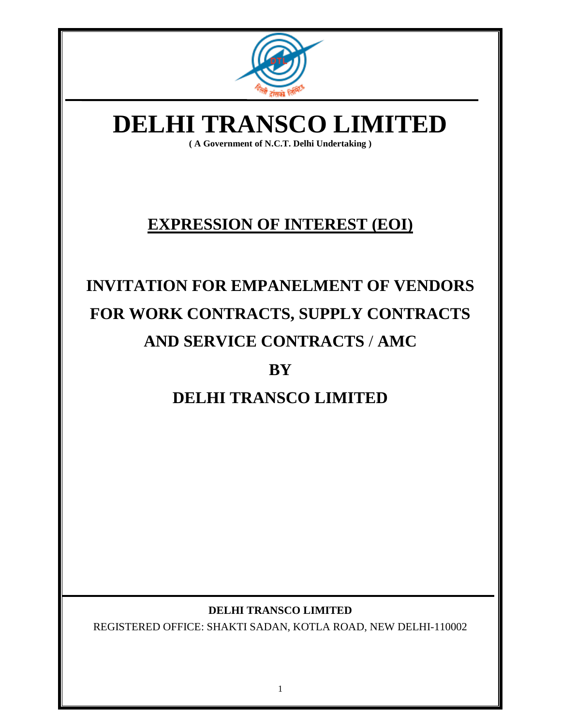

# **DELHI TRANSCO LIMITED**

**( A Government of N.C.T. Delhi Undertaking )**

## **EXPRESSION OF INTEREST (EOI)**

# **INVITATION FOR EMPANELMENT OF VENDORS FOR WORK CONTRACTS, SUPPLY CONTRACTS AND SERVICE CONTRACTS** / **AMC**

## **BY**

## **DELHI TRANSCO LIMITED**

#### **DELHI TRANSCO LIMITED**

REGISTERED OFFICE: SHAKTI SADAN, KOTLA ROAD, NEW DELHI-110002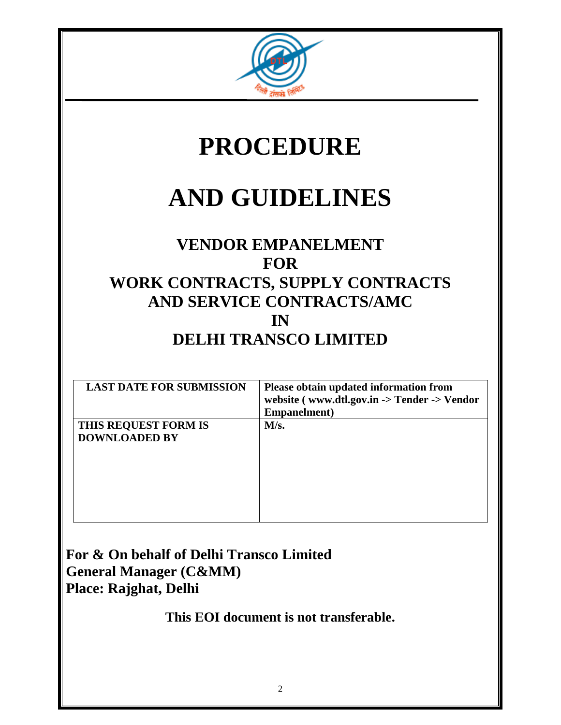

# **PROCEDURE**

# **AND GUIDELINES**

## **VENDOR EMPANELMENT FOR WORK CONTRACTS, SUPPLY CONTRACTS AND SERVICE CONTRACTS/AMC IN DELHI TRANSCO LIMITED**

| <b>LAST DATE FOR SUBMISSION</b>              | Please obtain updated information from<br>website (www.dtl.gov.in -> Tender -> Vendor<br>Empanelment) |
|----------------------------------------------|-------------------------------------------------------------------------------------------------------|
| THIS REQUEST FORM IS<br><b>DOWNLOADED BY</b> | M/s.                                                                                                  |

**For & On behalf of Delhi Transco Limited General Manager (C&MM) Place: Rajghat, Delhi**

**This EOI document is not transferable.**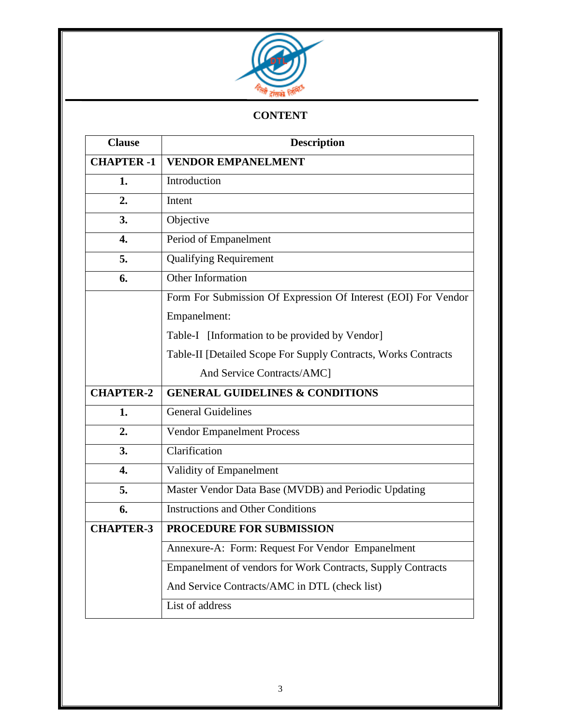

#### **CONTENT**

| <b>Clause</b>     | <b>Description</b>                                                 |  |
|-------------------|--------------------------------------------------------------------|--|
| <b>CHAPTER -1</b> | <b>VENDOR EMPANELMENT</b>                                          |  |
| 1.                | Introduction                                                       |  |
| 2.                | Intent                                                             |  |
| 3.                | Objective                                                          |  |
| 4.                | Period of Empanelment                                              |  |
| 5.                | <b>Qualifying Requirement</b>                                      |  |
| 6.                | Other Information                                                  |  |
|                   | Form For Submission Of Expression Of Interest (EOI) For Vendor     |  |
|                   | Empanelment:                                                       |  |
|                   | Table-I [Information to be provided by Vendor]                     |  |
|                   | Table-II [Detailed Scope For Supply Contracts, Works Contracts     |  |
|                   | And Service Contracts/AMC]                                         |  |
| <b>CHAPTER-2</b>  | <b>GENERAL GUIDELINES &amp; CONDITIONS</b>                         |  |
| 1.                | <b>General Guidelines</b>                                          |  |
| 2.                | <b>Vendor Empanelment Process</b>                                  |  |
| 3.                | Clarification                                                      |  |
| 4.                | Validity of Empanelment                                            |  |
| 5.                | Master Vendor Data Base (MVDB) and Periodic Updating               |  |
| 6.                | <b>Instructions and Other Conditions</b>                           |  |
| <b>CHAPTER-3</b>  | PROCEDURE FOR SUBMISSION                                           |  |
|                   | Annexure-A: Form: Request For Vendor Empanelment                   |  |
|                   | <b>Empanelment of vendors for Work Contracts, Supply Contracts</b> |  |
|                   | And Service Contracts/AMC in DTL (check list)                      |  |
|                   | List of address                                                    |  |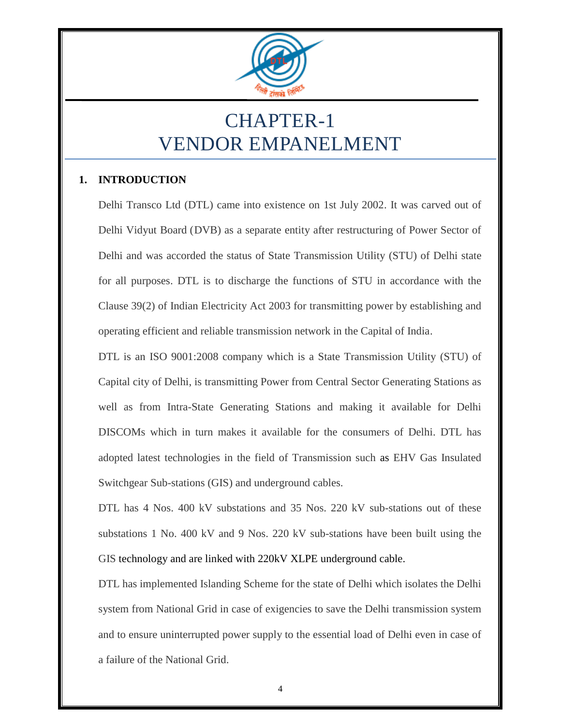

# CHAPTER-1 VENDOR EMPANELMENT

#### **1. INTRODUCTION**

Delhi Transco Ltd (DTL) came into existence on 1st July 2002. It was carved out of Delhi Vidyut Board (DVB) as a separate entity after restructuring of Power Sector of Delhi and was accorded the status of State Transmission Utility (STU) of Delhi state for all purposes. DTL is to discharge the functions of STU in accordance with the Clause 39(2) of Indian Electricity Act 2003 for transmitting power by establishing and operating efficient and reliable transmission network in the Capital of India.

DTL is an ISO 9001:2008 company which is a State Transmission Utility (STU) of Capital city of Delhi, is transmitting Power from Central Sector Generating Stations as well as from Intra-State Generating Stations and making it available for Delhi DISCOMs which in turn makes it available for the consumers of Delhi. DTL has adopted latest technologies in the field of Transmission such as EHV Gas Insulated Switchgear Sub-stations (GIS) and underground cables.

DTL has 4 Nos. 400 kV substations and 35 Nos. 220 kV sub-stations out of these substations 1 No. 400 kV and 9 Nos. 220 kV sub-stations have been built using the GIS technology and are linked with 220kV XLPE underground cable.

DTL has implemented Islanding Scheme for the state of Delhi which isolates the Delhi system from National Grid in case of exigencies to save the Delhi transmission system and to ensure uninterrupted power supply to the essential load of Delhi even in case of a failure of the National Grid.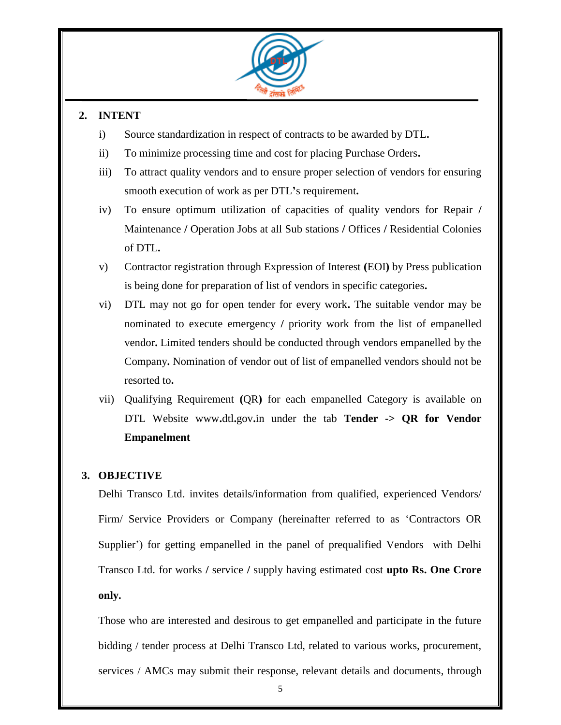

#### **2. INTENT**

- i) Source standardization in respect of contracts to be awarded by DTL**.**
- ii) To minimize processing time and cost for placing Purchase Orders**.**
- iii) To attract quality vendors and to ensure proper selection of vendors for ensuring smooth execution of work as per DTL**'**s requirement**.**
- iv) To ensure optimum utilization of capacities of quality vendors for Repair **/**  Maintenance **/** Operation Jobs at all Sub stations **/** Offices **/** Residential Colonies of DTL**.**
- v) Contractor registration through Expression of Interest **(**EOI**)** by Press publication is being done for preparation of list of vendors in specific categories**.**
- vi) DTL may not go for open tender for every work**.** The suitable vendor may be nominated to execute emergency **/** priority work from the list of empanelled vendor**.** Limited tenders should be conducted through vendors empanelled by the Company**.** Nomination of vendor out of list of empanelled vendors should not be resorted to**.**
- vii) Qualifying Requirement **(**QR**)** for each empanelled Category is available on DTL Website www**.**dtl**.**gov**.**in under the tab **Tender -> QR for Vendor Empanelment**

#### **3. OBJECTIVE**

Delhi Transco Ltd. invites details/information from qualified, experienced Vendors/ Firm/ Service Providers or Company (hereinafter referred to as "Contractors OR Supplier') for getting empanelled in the panel of prequalified Vendors with Delhi Transco Ltd. for works **/** service **/** supply having estimated cost **upto Rs. One Crore only.**

Those who are interested and desirous to get empanelled and participate in the future bidding / tender process at Delhi Transco Ltd, related to various works, procurement, services / AMCs may submit their response, relevant details and documents, through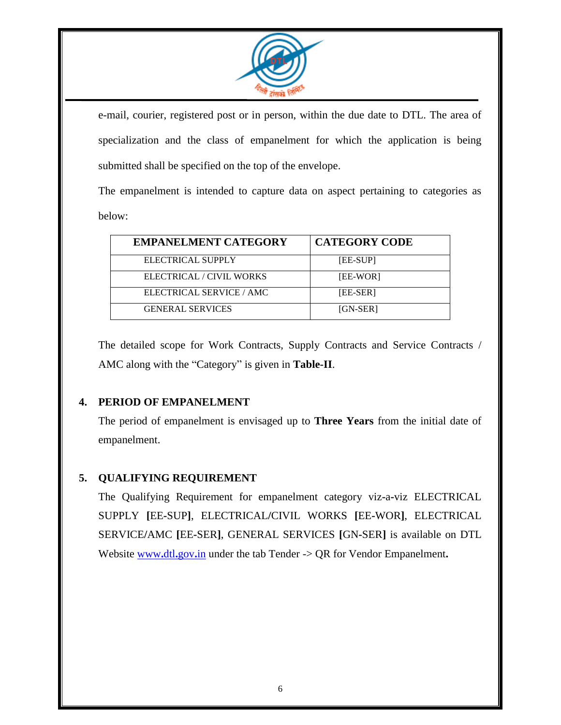

e-mail, courier, registered post or in person, within the due date to DTL. The area of specialization and the class of empanelment for which the application is being submitted shall be specified on the top of the envelope.

The empanelment is intended to capture data on aspect pertaining to categories as below:

| <b>EMPANELMENT CATEGORY</b> | <b>CATEGORY CODE</b> |
|-----------------------------|----------------------|
| ELECTRICAL SUPPLY           | [EE-SUP]             |
| ELECTRICAL / CIVIL WORKS    | [EE-WOR]             |
| ELECTRICAL SERVICE / AMC    | [EE-SER]             |
| <b>GENERAL SERVICES</b>     | [GN-SER]             |

The detailed scope for Work Contracts, Supply Contracts and Service Contracts / AMC along with the "Category" is given in **Table-II**.

#### **4. PERIOD OF EMPANELMENT**

The period of empanelment is envisaged up to **Three Years** from the initial date of empanelment.

#### **5. QUALIFYING REQUIREMENT**

The Qualifying Requirement for empanelment category viz**-**a**-**viz ELECTRICAL SUPPLY **[**EE**-**SUP**]**, ELECTRICAL**/**CIVIL WORKS **[**EE**-**WOR**]**, ELECTRICAL SERVICE**/**AMC **[**EE**-**SER**]**, GENERAL SERVICES **[**GN**-**SER**]** is available on DTL Website [www](http://www.dtl.gov.in/)**.**dtl**.**gov**.**in under the tab Tender -> QR for Vendor Empanelment**.**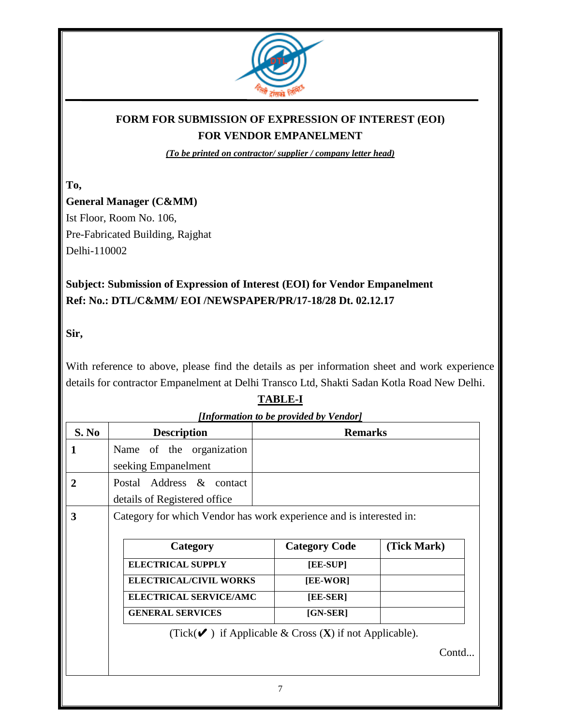

### **FORM FOR SUBMISSION OF EXPRESSION OF INTEREST (EOI) FOR VENDOR EMPANELMENT**

*(To be printed on contractor/ supplier / company letter head)*

**To,** 

## **General Manager (C&MM)**

Ist Floor, Room No. 106, Pre-Fabricated Building, Rajghat Delhi-110002

### **Subject: Submission of Expression of Interest (EOI) for Vendor Empanelment Ref: No.: DTL/C&MM/ EOI /NEWSPAPER/PR/17-18/28 Dt. 02.12.17**

#### **Sir,**

With reference to above, please find the details as per information sheet and work experience details for contractor Empanelment at Delhi Transco Ltd, Shakti Sadan Kotla Road New Delhi.

#### **TABLE-I**

|              | [Information to be provided by Vendor]                                                |                      |             |  |
|--------------|---------------------------------------------------------------------------------------|----------------------|-------------|--|
| S. No        | <b>Description</b><br><b>Remarks</b>                                                  |                      |             |  |
| 1            | Name of the organization                                                              |                      |             |  |
|              | seeking Empanelment                                                                   |                      |             |  |
| $\mathbf{2}$ | Postal Address & contact                                                              |                      |             |  |
|              | details of Registered office                                                          |                      |             |  |
| 3            | Category for which Vendor has work experience and is interested in:                   |                      |             |  |
|              |                                                                                       |                      |             |  |
|              | Category                                                                              | <b>Category Code</b> | (Tick Mark) |  |
|              | <b>ELECTRICAL SUPPLY</b>                                                              | [EE-SUP]             |             |  |
|              | <b>ELECTRICAL/CIVIL WORKS</b>                                                         | [EE-WOR]             |             |  |
|              | <b>ELECTRICAL SERVICE/AMC</b><br>[EE-SER]                                             |                      |             |  |
|              | <b>GENERAL SERVICES</b>                                                               | $[GN-SER]$           |             |  |
|              | (Tick( $\mathbf{\checkmark}$ ) if Applicable & Cross ( <b>X</b> ) if not Applicable). |                      |             |  |
|              |                                                                                       |                      |             |  |
|              | Contd                                                                                 |                      |             |  |
|              |                                                                                       |                      |             |  |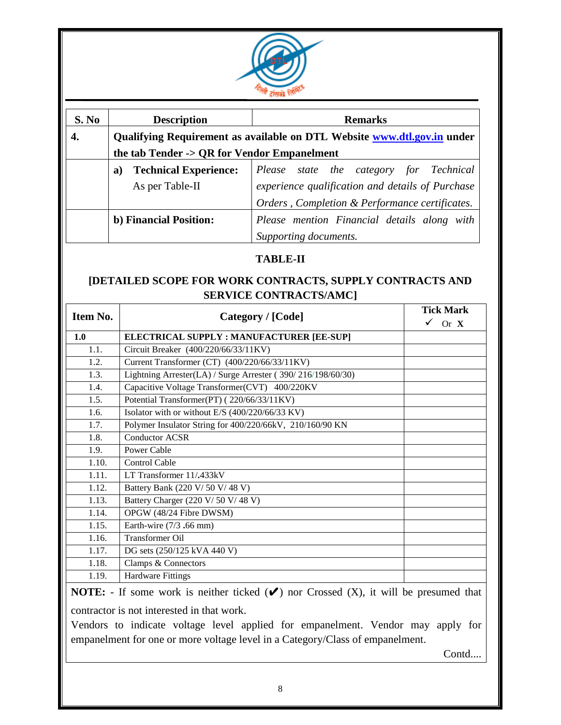

| S. No | <b>Description</b>                                                      | <b>Remarks</b>                                   |
|-------|-------------------------------------------------------------------------|--------------------------------------------------|
|       | Qualifying Requirement as available on DTL Website www.dtl.gov.in under |                                                  |
|       | the tab Tender -> QR for Vendor Empanelment                             |                                                  |
|       | <b>Technical Experience:</b><br>a)                                      | Please state the category for Technical          |
|       | As per Table-II                                                         | experience qualification and details of Purchase |
|       |                                                                         | Orders, Completion & Performance certificates.   |
|       | b) Financial Position:                                                  | Please mention Financial details along with      |
|       |                                                                         | Supporting documents.                            |

#### **TABLE-II**

#### **[DETAILED SCOPE FOR WORK CONTRACTS, SUPPLY CONTRACTS AND SERVICE CONTRACTS/AMC]**

|          |                                                             | <b>Tick Mark</b>       |  |  |
|----------|-------------------------------------------------------------|------------------------|--|--|
| Item No. | Category / [Code]                                           | $\checkmark$<br>Or $X$ |  |  |
| 1.0      | ELECTRICAL SUPPLY : MANUFACTURER [EE-SUP]                   |                        |  |  |
| 1.1.     | Circuit Breaker (400/220/66/33/11KV)                        |                        |  |  |
| 1.2.     | Current Transformer (CT) (400/220/66/33/11KV)               |                        |  |  |
| 1.3.     | Lightning Arrester(LA) / Surge Arrester (390/216/198/60/30) |                        |  |  |
| 1.4.     | Capacitive Voltage Transformer(CVT) 400/220KV               |                        |  |  |
| 1.5.     | Potential Transformer(PT) (220/66/33/11KV)                  |                        |  |  |
| 1.6.     | Isolator with or without E/S (400/220/66/33 KV)             |                        |  |  |
| 1.7.     | Polymer Insulator String for 400/220/66kV, 210/160/90 KN    |                        |  |  |
| 1.8.     | <b>Conductor ACSR</b>                                       |                        |  |  |
| 1.9.     | Power Cable                                                 |                        |  |  |
| 1.10.    | Control Cable                                               |                        |  |  |
| 1.11.    | LT Transformer 11/.433kV                                    |                        |  |  |
| 1.12.    | Battery Bank (220 V/ 50 V/ 48 V)                            |                        |  |  |
| 1.13.    | Battery Charger (220 V/ 50 V/ 48 V)                         |                        |  |  |
| 1.14.    | OPGW (48/24 Fibre DWSM)                                     |                        |  |  |
| 1.15.    | Earth-wire $(7/3, 66$ mm)                                   |                        |  |  |
| 1.16.    | <b>Transformer Oil</b>                                      |                        |  |  |
| 1.17.    | DG sets (250/125 kVA 440 V)                                 |                        |  |  |
| 1.18.    | Clamps & Connectors                                         |                        |  |  |
| 1.19.    | <b>Hardware Fittings</b>                                    |                        |  |  |
|          |                                                             |                        |  |  |

**NOTE:** - If some work is neither ticked (✔) nor Crossed (X), it will be presumed that contractor is not interested in that work.

Vendors to indicate voltage level applied for empanelment. Vendor may apply for empanelment for one or more voltage level in a Category/Class of empanelment.

Contd....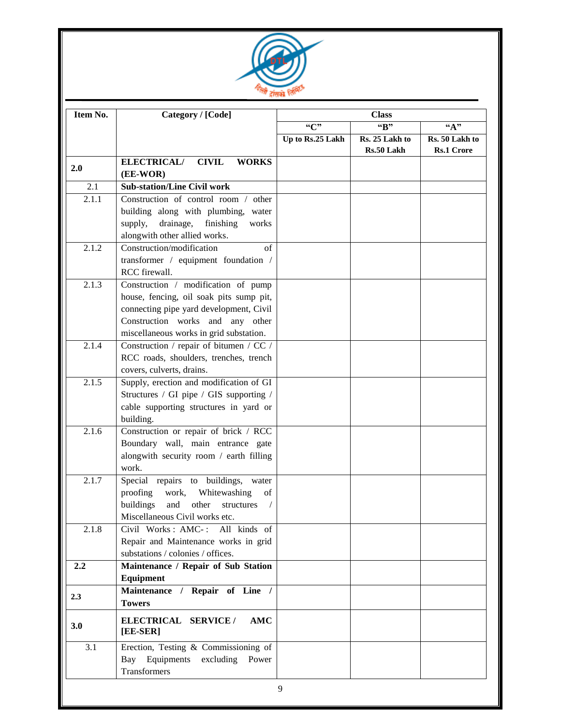

| Item No.         | Category / [Code]                                                                                                                                                      | <b>Class</b><br>"B" |                              |                                     |  |  |
|------------------|------------------------------------------------------------------------------------------------------------------------------------------------------------------------|---------------------|------------------------------|-------------------------------------|--|--|
|                  |                                                                                                                                                                        | $C$ "               | $\overline{``A"'}$           |                                     |  |  |
|                  |                                                                                                                                                                        | Up to Rs.25 Lakh    | Rs. 25 Lakh to<br>Rs.50 Lakh | Rs. 50 Lakh to<br><b>Rs.1 Crore</b> |  |  |
| 2.0              | <b>ELECTRICAL/</b><br><b>CIVIL</b><br><b>WORKS</b><br>(EE-WOR)                                                                                                         |                     |                              |                                     |  |  |
| 2.1              | <b>Sub-station/Line Civil work</b>                                                                                                                                     |                     |                              |                                     |  |  |
| 2.1.1            | Construction of control room / other<br>building along with plumbing, water                                                                                            |                     |                              |                                     |  |  |
|                  | drainage,<br>supply,<br>finishing<br>works<br>alongwith other allied works.                                                                                            |                     |                              |                                     |  |  |
| 2.1.2            | Construction/modification<br>of                                                                                                                                        |                     |                              |                                     |  |  |
|                  | transformer / equipment foundation /<br>RCC firewall.                                                                                                                  |                     |                              |                                     |  |  |
| 2.1.3            | Construction / modification of pump<br>house, fencing, oil soak pits sump pit,<br>connecting pipe yard development, Civil<br>Construction works and any other          |                     |                              |                                     |  |  |
|                  | miscellaneous works in grid substation.                                                                                                                                |                     |                              |                                     |  |  |
| 2.1.4            | Construction / repair of bitumen / CC /<br>RCC roads, shoulders, trenches, trench                                                                                      |                     |                              |                                     |  |  |
| 2.1.5            | covers, culverts, drains.<br>Supply, erection and modification of GI                                                                                                   |                     |                              |                                     |  |  |
|                  | Structures / GI pipe / GIS supporting /<br>cable supporting structures in yard or<br>building.                                                                         |                     |                              |                                     |  |  |
| 2.1.6            | Construction or repair of brick / RCC<br>Boundary wall, main entrance gate<br>alongwith security room / earth filling<br>work.                                         |                     |                              |                                     |  |  |
| 2.1.7            | Special repairs to buildings, water<br>proofing<br>work, Whitewashing<br>of<br>buildings<br>and<br>other<br>structures<br>$\sqrt{2}$<br>Miscellaneous Civil works etc. |                     |                              |                                     |  |  |
| 2.1.8            | Civil Works: AMC-:<br>All kinds of<br>Repair and Maintenance works in grid<br>substations / colonies / offices.                                                        |                     |                              |                                     |  |  |
| $2.2\phantom{0}$ | Maintenance / Repair of Sub Station<br>Equipment                                                                                                                       |                     |                              |                                     |  |  |
| 2.3              | Maintenance / Repair of Line /<br><b>Towers</b>                                                                                                                        |                     |                              |                                     |  |  |
| 3.0              | ELECTRICAL SERVICE /<br>AMC<br>[EE-SER]                                                                                                                                |                     |                              |                                     |  |  |
| 3.1              | Erection, Testing & Commissioning of<br>Bay<br>Equipments<br>excluding<br>Power<br>Transformers                                                                        |                     |                              |                                     |  |  |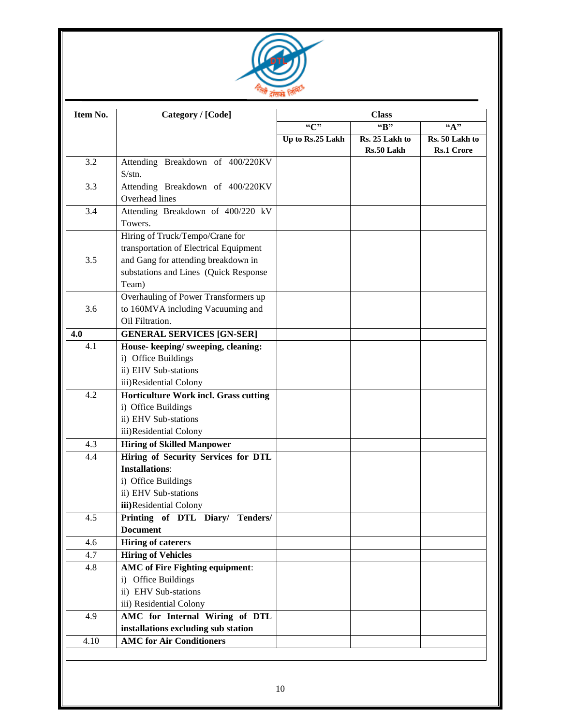

| Item No. | Category / [Code]                                                                                                                                                  | <b>Class</b>                  |                              |                                     |  |
|----------|--------------------------------------------------------------------------------------------------------------------------------------------------------------------|-------------------------------|------------------------------|-------------------------------------|--|
|          |                                                                                                                                                                    | ``C"<br>"B"<br>$\mathbf{A}$ " |                              |                                     |  |
|          |                                                                                                                                                                    | Up to Rs.25 Lakh              | Rs. 25 Lakh to<br>Rs.50 Lakh | Rs. 50 Lakh to<br><b>Rs.1 Crore</b> |  |
| 3.2      | Attending Breakdown of 400/220KV<br>S/stn.                                                                                                                         |                               |                              |                                     |  |
| 3.3      | Attending Breakdown of 400/220KV<br>Overhead lines                                                                                                                 |                               |                              |                                     |  |
| 3.4      | Attending Breakdown of 400/220 kV<br>Towers.                                                                                                                       |                               |                              |                                     |  |
| 3.5      | Hiring of Truck/Tempo/Crane for<br>transportation of Electrical Equipment<br>and Gang for attending breakdown in<br>substations and Lines (Quick Response<br>Team) |                               |                              |                                     |  |
| 3.6      | Overhauling of Power Transformers up<br>to 160MVA including Vacuuming and<br>Oil Filtration.                                                                       |                               |                              |                                     |  |
| 4.0      | <b>GENERAL SERVICES [GN-SER]</b>                                                                                                                                   |                               |                              |                                     |  |
| 4.1      | House-keeping/sweeping, cleaning:<br>i) Office Buildings<br>ii) EHV Sub-stations<br>iii)Residential Colony                                                         |                               |                              |                                     |  |
| 4.2      | Horticulture Work incl. Grass cutting<br>i) Office Buildings<br>ii) EHV Sub-stations<br>iii)Residential Colony                                                     |                               |                              |                                     |  |
| 4.3      | <b>Hiring of Skilled Manpower</b>                                                                                                                                  |                               |                              |                                     |  |
| 4.4      | Hiring of Security Services for DTL<br><b>Installations:</b><br>i) Office Buildings<br>ii) EHV Sub-stations<br>iii)Residential Colony                              |                               |                              |                                     |  |
| 4.5      | Printing of DTL Diary/ Tenders/<br><b>Document</b>                                                                                                                 |                               |                              |                                     |  |
| 4.6      | <b>Hiring of caterers</b>                                                                                                                                          |                               |                              |                                     |  |
| 4.7      | <b>Hiring of Vehicles</b>                                                                                                                                          |                               |                              |                                     |  |
| 4.8      | <b>AMC</b> of Fire Fighting equipment:<br>i) Office Buildings<br>ii) EHV Sub-stations<br>iii) Residential Colony                                                   |                               |                              |                                     |  |
| 4.9      | AMC for Internal Wiring of DTL<br>installations excluding sub station                                                                                              |                               |                              |                                     |  |
| 4.10     | <b>AMC</b> for Air Conditioners                                                                                                                                    |                               |                              |                                     |  |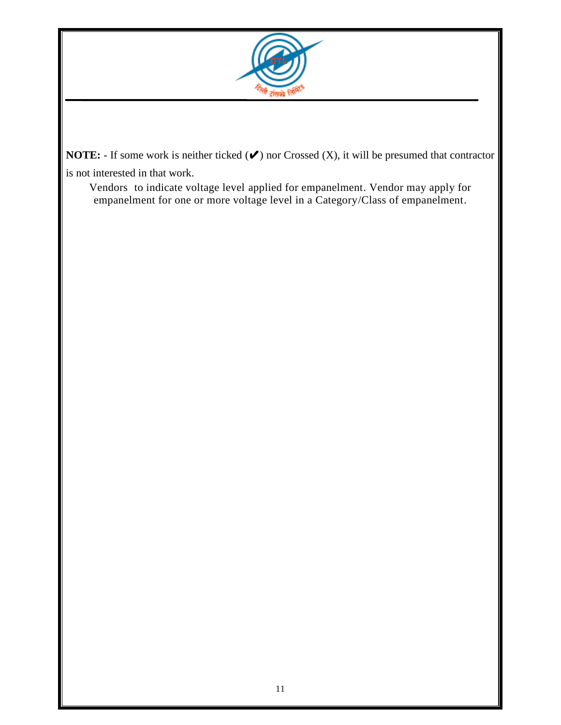

**NOTE:** - If some work is neither ticked (✔) nor Crossed (X), it will be presumed that contractor is not interested in that work.

Vendors to indicate voltage level applied for empanelment. Vendor may apply for empanelment for one or more voltage level in a Category/Class of empanelment.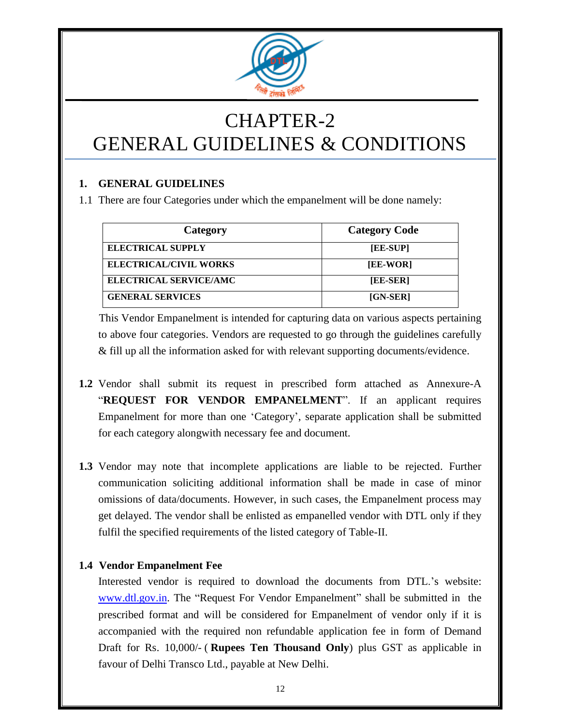

# CHAPTER-2 GENERAL GUIDELINES & CONDITIONS

#### **1. GENERAL GUIDELINES**

1.1 There are four Categories under which the empanelment will be done namely:

| Category                      | <b>Category Code</b> |
|-------------------------------|----------------------|
| <b>ELECTRICAL SUPPLY</b>      | [EE-SUP]             |
| <b>ELECTRICAL/CIVIL WORKS</b> | [EE-WOR]             |
| <b>ELECTRICAL SERVICE/AMC</b> | [EE-SER]             |
| <b>GENERAL SERVICES</b>       | [GN-SER]             |

This Vendor Empanelment is intended for capturing data on various aspects pertaining to above four categories. Vendors are requested to go through the guidelines carefully & fill up all the information asked for with relevant supporting documents/evidence.

- **1.2** Vendor shall submit its request in prescribed form attached as Annexure-A "**REQUEST FOR VENDOR EMPANELMENT**". If an applicant requires Empanelment for more than one "Category", separate application shall be submitted for each category alongwith necessary fee and document.
- **1.3** Vendor may note that incomplete applications are liable to be rejected. Further communication soliciting additional information shall be made in case of minor omissions of data/documents. However, in such cases, the Empanelment process may get delayed. The vendor shall be enlisted as empanelled vendor with DTL only if they fulfil the specified requirements of the listed category of Table-II.

#### **1.4 Vendor Empanelment Fee**

Interested vendor is required to download the documents from DTL."s website: [www.dtl.gov.in.](http://www.dtl.gov.in/) The "Request For Vendor Empanelment" shall be submitted in the prescribed format and will be considered for Empanelment of vendor only if it is accompanied with the required non refundable application fee in form of Demand Draft for Rs. 10,000/- ( **Rupees Ten Thousand Only**) plus GST as applicable in favour of Delhi Transco Ltd., payable at New Delhi.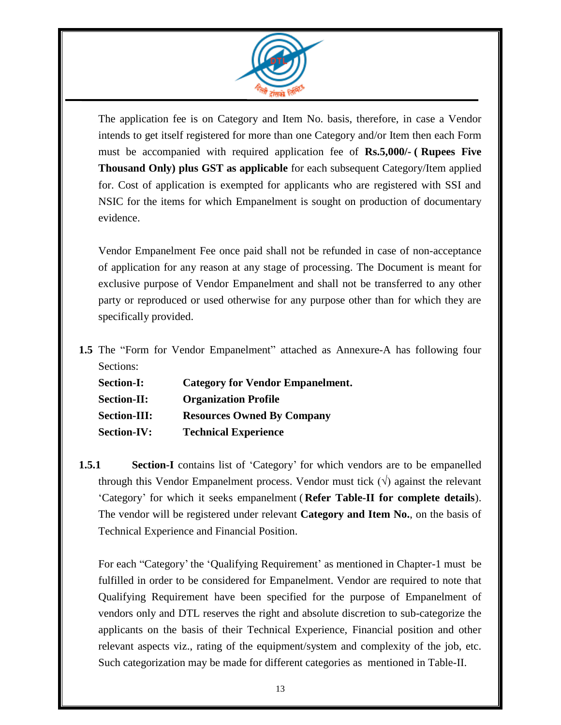

The application fee is on Category and Item No. basis, therefore, in case a Vendor intends to get itself registered for more than one Category and/or Item then each Form must be accompanied with required application fee of **Rs.5,000/- ( Rupees Five Thousand Only) plus GST as applicable** for each subsequent Category/Item applied for. Cost of application is exempted for applicants who are registered with SSI and NSIC for the items for which Empanelment is sought on production of documentary evidence.

Vendor Empanelment Fee once paid shall not be refunded in case of non-acceptance of application for any reason at any stage of processing. The Document is meant for exclusive purpose of Vendor Empanelment and shall not be transferred to any other party or reproduced or used otherwise for any purpose other than for which they are specifically provided.

**1.5** The "Form for Vendor Empanelment" attached as Annexure-A has following four Sections:

| <b>Section-I:</b>   | <b>Category for Vendor Empanelment.</b> |
|---------------------|-----------------------------------------|
| <b>Section-II:</b>  | <b>Organization Profile</b>             |
| <b>Section-III:</b> | <b>Resources Owned By Company</b>       |
| <b>Section-IV:</b>  | <b>Technical Experience</b>             |

**1.5.1 Section-I** contains list of 'Category' for which vendors are to be empanelled through this Vendor Empanelment process. Vendor must tick  $(\forall)$  against the relevant "Category" for which it seeks empanelment ( **Refer Table-II for complete details**). The vendor will be registered under relevant **Category and Item No.**, on the basis of Technical Experience and Financial Position.

For each "Category' the 'Qualifying Requirement' as mentioned in Chapter-1 must be fulfilled in order to be considered for Empanelment. Vendor are required to note that Qualifying Requirement have been specified for the purpose of Empanelment of vendors only and DTL reserves the right and absolute discretion to sub-categorize the applicants on the basis of their Technical Experience, Financial position and other relevant aspects viz., rating of the equipment/system and complexity of the job, etc. Such categorization may be made for different categories as mentioned in Table-II.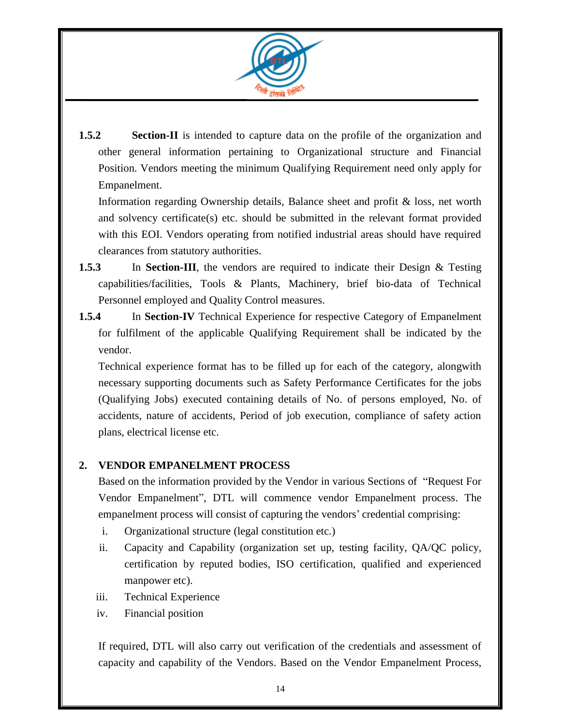

**1.5.2 Section-II** is intended to capture data on the profile of the organization and other general information pertaining to Organizational structure and Financial Position. Vendors meeting the minimum Qualifying Requirement need only apply for Empanelment.

Information regarding Ownership details, Balance sheet and profit & loss, net worth and solvency certificate(s) etc. should be submitted in the relevant format provided with this EOI. Vendors operating from notified industrial areas should have required clearances from statutory authorities.

- **1.5.3** In **Section-III**, the vendors are required to indicate their Design & Testing capabilities/facilities, Tools & Plants, Machinery, brief bio-data of Technical Personnel employed and Quality Control measures.
- **1.5.4** In **Section-IV** Technical Experience for respective Category of Empanelment for fulfilment of the applicable Qualifying Requirement shall be indicated by the vendor.

Technical experience format has to be filled up for each of the category, alongwith necessary supporting documents such as Safety Performance Certificates for the jobs (Qualifying Jobs) executed containing details of No. of persons employed, No. of accidents, nature of accidents, Period of job execution, compliance of safety action plans, electrical license etc.

#### **2. VENDOR EMPANELMENT PROCESS**

Based on the information provided by the Vendor in various Sections of "Request For Vendor Empanelment", DTL will commence vendor Empanelment process. The empanelment process will consist of capturing the vendors' credential comprising:

- i. Organizational structure (legal constitution etc.)
- ii. Capacity and Capability (organization set up, testing facility, QA/QC policy, certification by reputed bodies, ISO certification, qualified and experienced manpower etc).
- iii. Technical Experience
- iv. Financial position

If required, DTL will also carry out verification of the credentials and assessment of capacity and capability of the Vendors. Based on the Vendor Empanelment Process,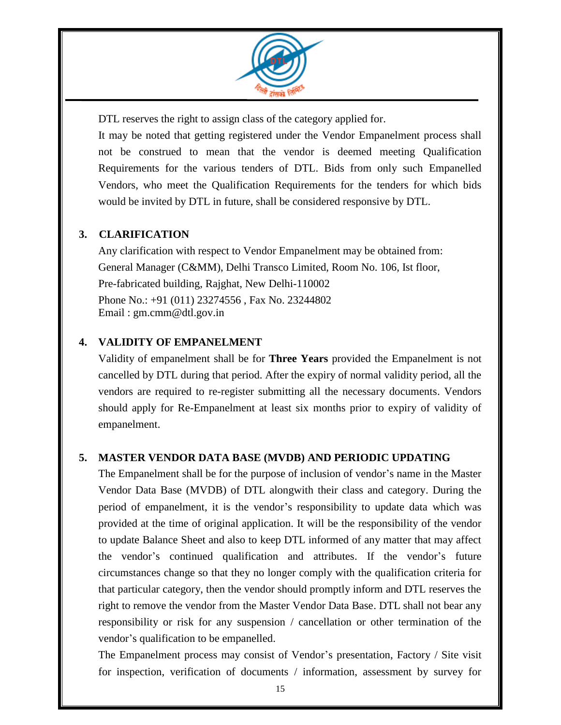

DTL reserves the right to assign class of the category applied for.

It may be noted that getting registered under the Vendor Empanelment process shall not be construed to mean that the vendor is deemed meeting Qualification Requirements for the various tenders of DTL. Bids from only such Empanelled Vendors, who meet the Qualification Requirements for the tenders for which bids would be invited by DTL in future, shall be considered responsive by DTL.

#### **3. CLARIFICATION**

Any clarification with respect to Vendor Empanelment may be obtained from: General Manager (C&MM), Delhi Transco Limited, Room No. 106, Ist floor, Pre-fabricated building, Rajghat, New Delhi-110002 Phone No.: +91 (011) 23274556 , Fax No. 23244802 Email : gm.cmm@dtl.gov.in

#### **4. VALIDITY OF EMPANELMENT**

Validity of empanelment shall be for **Three Years** provided the Empanelment is not cancelled by DTL during that period. After the expiry of normal validity period, all the vendors are required to re-register submitting all the necessary documents. Vendors should apply for Re-Empanelment at least six months prior to expiry of validity of empanelment.

#### **5. MASTER VENDOR DATA BASE (MVDB) AND PERIODIC UPDATING**

The Empanelment shall be for the purpose of inclusion of vendor"s name in the Master Vendor Data Base (MVDB) of DTL alongwith their class and category. During the period of empanelment, it is the vendor"s responsibility to update data which was provided at the time of original application. It will be the responsibility of the vendor to update Balance Sheet and also to keep DTL informed of any matter that may affect the vendor"s continued qualification and attributes. If the vendor"s future circumstances change so that they no longer comply with the qualification criteria for that particular category, then the vendor should promptly inform and DTL reserves the right to remove the vendor from the Master Vendor Data Base. DTL shall not bear any responsibility or risk for any suspension / cancellation or other termination of the vendor"s qualification to be empanelled.

The Empanelment process may consist of Vendor"s presentation, Factory / Site visit for inspection, verification of documents / information, assessment by survey for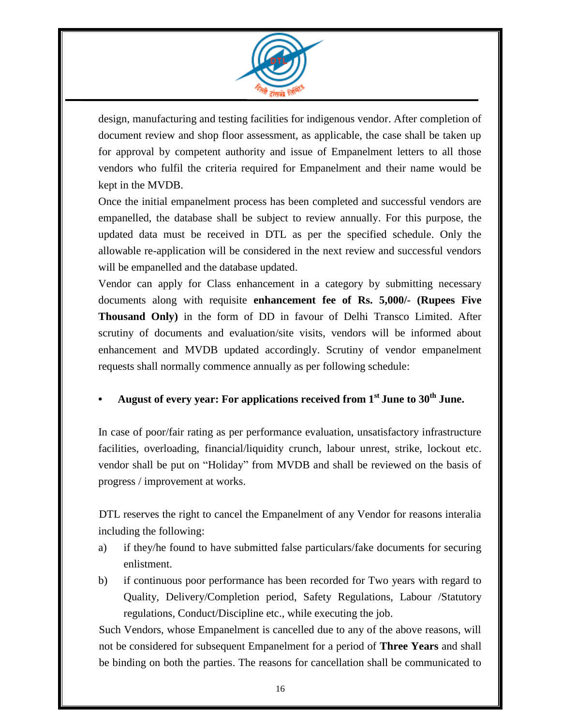

design, manufacturing and testing facilities for indigenous vendor. After completion of document review and shop floor assessment, as applicable, the case shall be taken up for approval by competent authority and issue of Empanelment letters to all those vendors who fulfil the criteria required for Empanelment and their name would be kept in the MVDB.

Once the initial empanelment process has been completed and successful vendors are empanelled, the database shall be subject to review annually. For this purpose, the updated data must be received in DTL as per the specified schedule. Only the allowable re-application will be considered in the next review and successful vendors will be empanelled and the database updated.

Vendor can apply for Class enhancement in a category by submitting necessary documents along with requisite **enhancement fee of Rs. 5,000/- (Rupees Five Thousand Only)** in the form of DD in favour of Delhi Transco Limited. After scrutiny of documents and evaluation/site visits, vendors will be informed about enhancement and MVDB updated accordingly. Scrutiny of vendor empanelment requests shall normally commence annually as per following schedule:

#### **• August of every year: For applications received from 1st June to 30 th June.**

In case of poor/fair rating as per performance evaluation, unsatisfactory infrastructure facilities, overloading, financial/liquidity crunch, labour unrest, strike, lockout etc. vendor shall be put on "Holiday" from MVDB and shall be reviewed on the basis of progress / improvement at works.

DTL reserves the right to cancel the Empanelment of any Vendor for reasons interalia including the following:

- a) if they/he found to have submitted false particulars/fake documents for securing enlistment.
- b) if continuous poor performance has been recorded for Two years with regard to Quality, Delivery/Completion period, Safety Regulations, Labour /Statutory regulations, Conduct/Discipline etc., while executing the job.

Such Vendors, whose Empanelment is cancelled due to any of the above reasons, will not be considered for subsequent Empanelment for a period of **Three Years** and shall be binding on both the parties. The reasons for cancellation shall be communicated to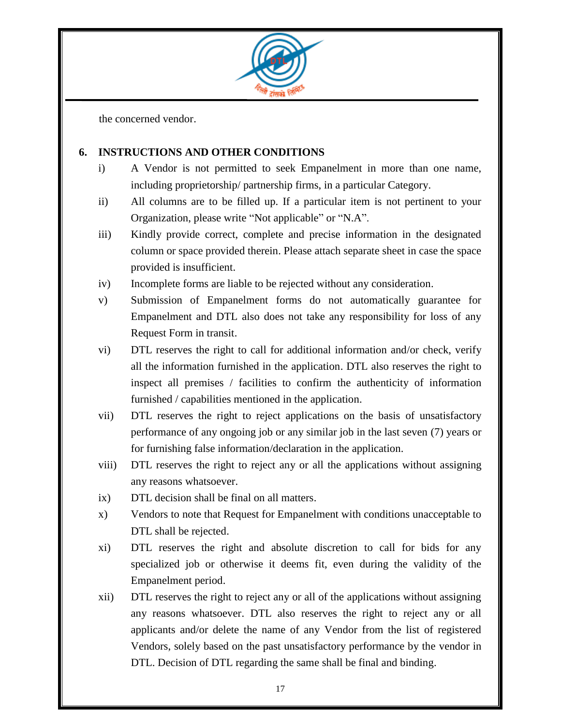

the concerned vendor.

#### **6. INSTRUCTIONS AND OTHER CONDITIONS**

- i) A Vendor is not permitted to seek Empanelment in more than one name, including proprietorship/ partnership firms, in a particular Category.
- ii) All columns are to be filled up. If a particular item is not pertinent to your Organization, please write "Not applicable" or "N.A".
- iii) Kindly provide correct, complete and precise information in the designated column or space provided therein. Please attach separate sheet in case the space provided is insufficient.
- iv) Incomplete forms are liable to be rejected without any consideration.
- v) Submission of Empanelment forms do not automatically guarantee for Empanelment and DTL also does not take any responsibility for loss of any Request Form in transit.
- vi) DTL reserves the right to call for additional information and/or check, verify all the information furnished in the application. DTL also reserves the right to inspect all premises / facilities to confirm the authenticity of information furnished / capabilities mentioned in the application.
- vii) DTL reserves the right to reject applications on the basis of unsatisfactory performance of any ongoing job or any similar job in the last seven (7) years or for furnishing false information/declaration in the application.
- viii) DTL reserves the right to reject any or all the applications without assigning any reasons whatsoever.
- ix) DTL decision shall be final on all matters.
- x) Vendors to note that Request for Empanelment with conditions unacceptable to DTL shall be rejected.
- xi) DTL reserves the right and absolute discretion to call for bids for any specialized job or otherwise it deems fit, even during the validity of the Empanelment period.
- xii) DTL reserves the right to reject any or all of the applications without assigning any reasons whatsoever. DTL also reserves the right to reject any or all applicants and/or delete the name of any Vendor from the list of registered Vendors, solely based on the past unsatisfactory performance by the vendor in DTL. Decision of DTL regarding the same shall be final and binding.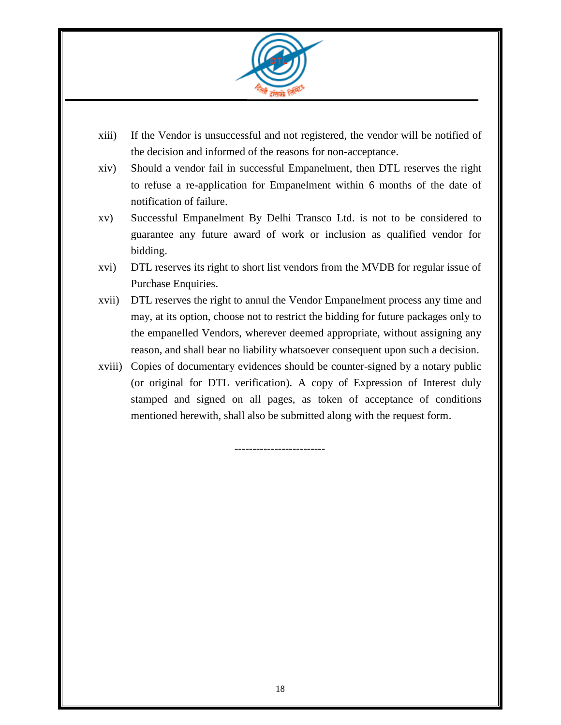

- xiii) If the Vendor is unsuccessful and not registered, the vendor will be notified of the decision and informed of the reasons for non-acceptance.
- xiv) Should a vendor fail in successful Empanelment, then DTL reserves the right to refuse a re-application for Empanelment within 6 months of the date of notification of failure.
- xv) Successful Empanelment By Delhi Transco Ltd. is not to be considered to guarantee any future award of work or inclusion as qualified vendor for bidding.
- xvi) DTL reserves its right to short list vendors from the MVDB for regular issue of Purchase Enquiries.
- xvii) DTL reserves the right to annul the Vendor Empanelment process any time and may, at its option, choose not to restrict the bidding for future packages only to the empanelled Vendors, wherever deemed appropriate, without assigning any reason, and shall bear no liability whatsoever consequent upon such a decision.
- xviii) Copies of documentary evidences should be counter-signed by a notary public (or original for DTL verification). A copy of Expression of Interest duly stamped and signed on all pages, as token of acceptance of conditions mentioned herewith, shall also be submitted along with the request form.

-------------------------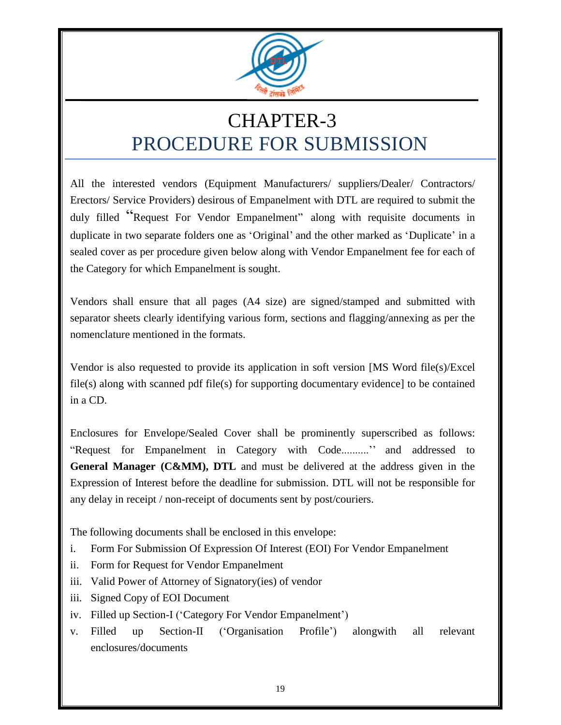

# CHAPTER-3 PROCEDURE FOR SUBMISSION

All the interested vendors (Equipment Manufacturers/ suppliers/Dealer/ Contractors/ Erectors/ Service Providers) desirous of Empanelment with DTL are required to submit the duly filled "Request For Vendor Empanelment" along with requisite documents in duplicate in two separate folders one as 'Original' and the other marked as 'Duplicate' in a sealed cover as per procedure given below along with Vendor Empanelment fee for each of the Category for which Empanelment is sought.

Vendors shall ensure that all pages (A4 size) are signed/stamped and submitted with separator sheets clearly identifying various form, sections and flagging/annexing as per the nomenclature mentioned in the formats.

Vendor is also requested to provide its application in soft version [MS Word file(s)/Excel file(s) along with scanned pdf file(s) for supporting documentary evidence] to be contained in a CD.

Enclosures for Envelope/Sealed Cover shall be prominently superscribed as follows: "Request for Empanelment in Category with Code.........."" and addressed to **General Manager (C&MM), DTL** and must be delivered at the address given in the Expression of Interest before the deadline for submission. DTL will not be responsible for any delay in receipt / non-receipt of documents sent by post/couriers.

The following documents shall be enclosed in this envelope:

- i. Form For Submission Of Expression Of Interest (EOI) For Vendor Empanelment
- ii. Form for Request for Vendor Empanelment
- iii. Valid Power of Attorney of Signatory(ies) of vendor
- iii. Signed Copy of EOI Document
- iv. Filled up Section-I ('Category For Vendor Empanelment')
- v. Filled up Section-II ("Organisation Profile") alongwith all relevant enclosures/documents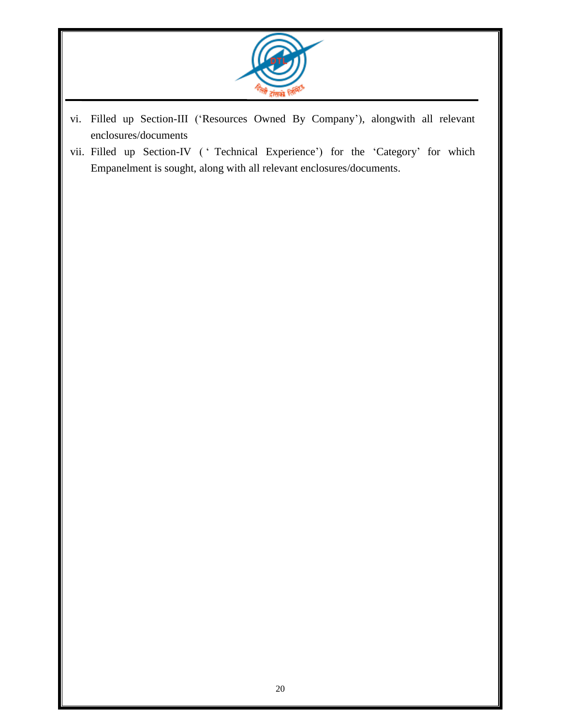

- vi. Filled up Section-III ("Resources Owned By Company"), alongwith all relevant enclosures/documents
- vii. Filled up Section-IV (' Technical Experience') for the 'Category' for which Empanelment is sought, along with all relevant enclosures/documents.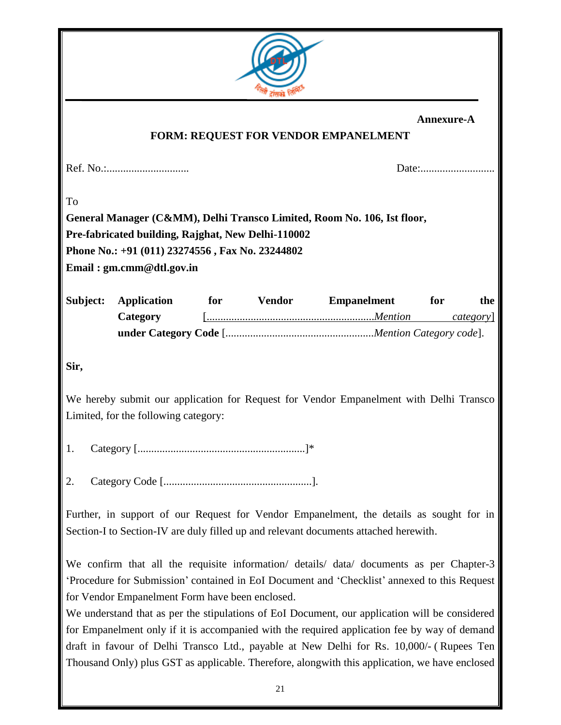

|          |                                                    |     |               | <b>FORM: REQUEST FOR VENDOR EMPANELMENT</b>                             | Annexure-A |                 |
|----------|----------------------------------------------------|-----|---------------|-------------------------------------------------------------------------|------------|-----------------|
|          |                                                    |     |               |                                                                         |            |                 |
| To       |                                                    |     |               |                                                                         |            |                 |
|          |                                                    |     |               | General Manager (C&MM), Delhi Transco Limited, Room No. 106, Ist floor, |            |                 |
|          | Pre-fabricated building, Rajghat, New Delhi-110002 |     |               |                                                                         |            |                 |
|          | Phone No.: +91 (011) 23274556, Fax No. 23244802    |     |               |                                                                         |            |                 |
|          | Email: gm.cmm@dtl.gov.in                           |     |               |                                                                         |            |                 |
|          |                                                    |     |               |                                                                         |            |                 |
| Subject: | <b>Application</b>                                 | for | <b>Vendor</b> | <b>Empanelment</b>                                                      | for        | the             |
|          | Category                                           |     |               |                                                                         |            | <i>category</i> |

**under Category Code** [*......................................................Mention Category code*].

**Sir,**

We hereby submit our application for Request for Vendor Empanelment with Delhi Transco Limited, for the following category:

1. Category [.............................................................]\*

2. Category Code [......................................................].

Further, in support of our Request for Vendor Empanelment, the details as sought for in Section-I to Section-IV are duly filled up and relevant documents attached herewith.

We confirm that all the requisite information/ details/ data/ documents as per Chapter-3 "Procedure for Submission" contained in EoI Document and "Checklist" annexed to this Request for Vendor Empanelment Form have been enclosed.

We understand that as per the stipulations of EoI Document, our application will be considered for Empanelment only if it is accompanied with the required application fee by way of demand draft in favour of Delhi Transco Ltd., payable at New Delhi for Rs. 10,000/- ( Rupees Ten Thousand Only) plus GST as applicable. Therefore, alongwith this application, we have enclosed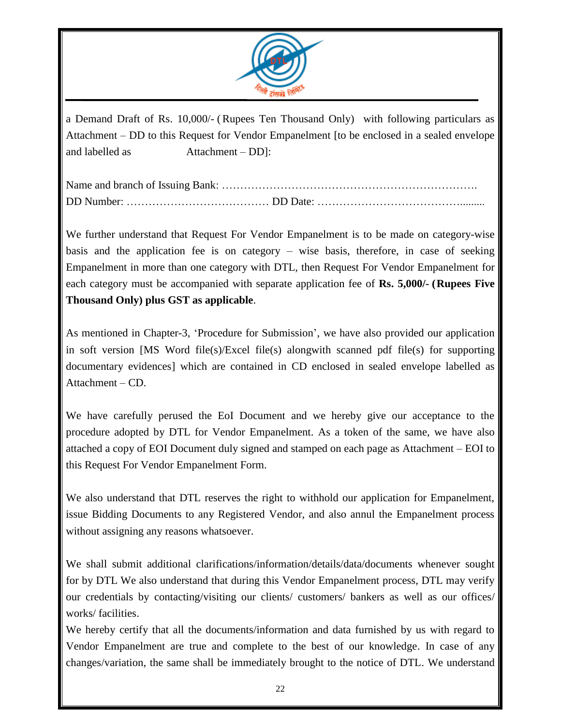

a Demand Draft of Rs. 10,000/- (Rupees Ten Thousand Only) with following particulars as Attachment – DD to this Request for Vendor Empanelment [to be enclosed in a sealed envelope and labelled as Attachment – DD]:

Name and branch of Issuing Bank: ……………………………………………………………. DD Number: ………………………………… DD Date: ………………………………….........

We further understand that Request For Vendor Empanelment is to be made on category-wise basis and the application fee is on category – wise basis, therefore, in case of seeking Empanelment in more than one category with DTL, then Request For Vendor Empanelment for each category must be accompanied with separate application fee of **Rs. 5,000/- (Rupees Five Thousand Only) plus GST as applicable**.

As mentioned in Chapter-3, "Procedure for Submission", we have also provided our application in soft version [MS Word file(s)/Excel file(s) alongwith scanned pdf file(s) for supporting documentary evidences] which are contained in CD enclosed in sealed envelope labelled as Attachment – CD.

We have carefully perused the EoI Document and we hereby give our acceptance to the procedure adopted by DTL for Vendor Empanelment. As a token of the same, we have also attached a copy of EOI Document duly signed and stamped on each page as Attachment – EOI to this Request For Vendor Empanelment Form.

We also understand that DTL reserves the right to withhold our application for Empanelment, issue Bidding Documents to any Registered Vendor, and also annul the Empanelment process without assigning any reasons whatsoever.

We shall submit additional clarifications/information/details/data/documents whenever sought for by DTL We also understand that during this Vendor Empanelment process, DTL may verify our credentials by contacting/visiting our clients/ customers/ bankers as well as our offices/ works/ facilities.

We hereby certify that all the documents/information and data furnished by us with regard to Vendor Empanelment are true and complete to the best of our knowledge. In case of any changes/variation, the same shall be immediately brought to the notice of DTL. We understand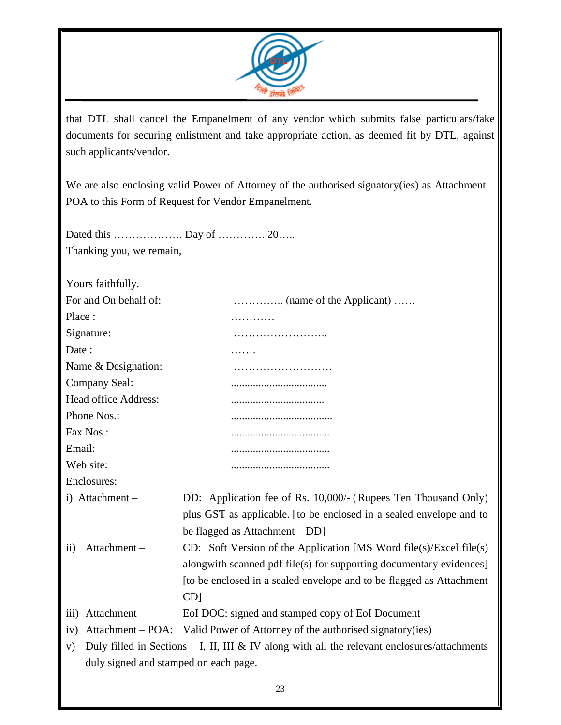

that DTL shall cancel the Empanelment of any vendor which submits false particulars/fake documents for securing enlistment and take appropriate action, as deemed fit by DTL, against such applicants/vendor.

We are also enclosing valid Power of Attorney of the authorised signatory(ies) as Attachment -POA to this Form of Request for Vendor Empanelment.

Dated this …………………… Day of …………… 20…… Thanking you, we remain,

Yours faithfully.

| For and On behalf of:                 |                                                                                                |
|---------------------------------------|------------------------------------------------------------------------------------------------|
| Place:                                | .                                                                                              |
| Signature:                            | .                                                                                              |
| Date:                                 |                                                                                                |
| Name & Designation:                   |                                                                                                |
| Company Seal:                         |                                                                                                |
| Head office Address:                  |                                                                                                |
| Phone Nos.:                           |                                                                                                |
| Fax Nos.:                             |                                                                                                |
| Email:                                |                                                                                                |
| Web site:                             |                                                                                                |
| Enclosures:                           |                                                                                                |
| i) Attachment -                       | DD: Application fee of Rs. 10,000/- (Rupees Ten Thousand Only)                                 |
|                                       | plus GST as applicable. [to be enclosed in a sealed envelope and to                            |
|                                       | be flagged as Attachment – DD]                                                                 |
| Attachment-<br>$\rm ii)$              | CD: Soft Version of the Application [MS Word file(s)/Excel file(s)                             |
|                                       | alongwith scanned pdf file(s) for supporting documentary evidences]                            |
|                                       | [to be enclosed in a sealed envelope and to be flagged as Attachment                           |
|                                       | CD]                                                                                            |
| Attachment-<br>$\overline{111}$       | EoI DOC: signed and stamped copy of EoI Document                                               |
| iv)                                   | Attachment – POA: Valid Power of Attorney of the authorised signatory(ies)                     |
| V)                                    | Duly filled in Sections $-$ I, II, III & IV along with all the relevant enclosures/attachments |
| duly signed and stamped on each page. |                                                                                                |
|                                       |                                                                                                |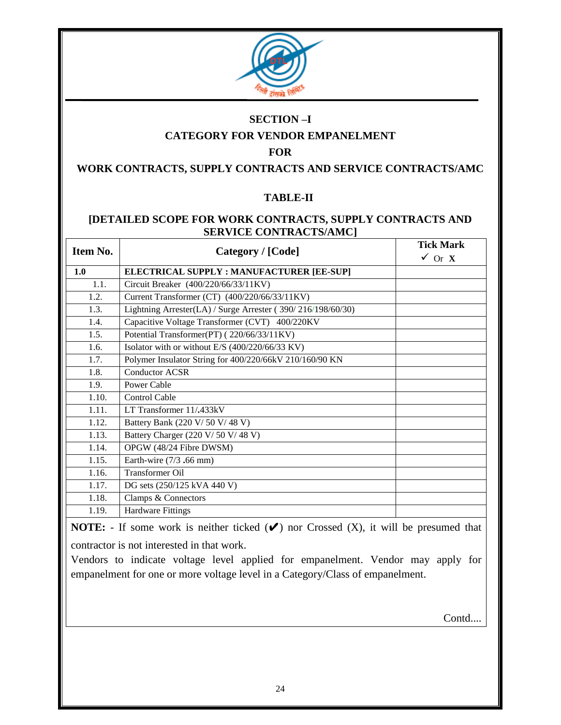

#### **SECTION –I**

#### **CATEGORY FOR VENDOR EMPANELMENT**

#### **FOR**

#### **WORK CONTRACTS, SUPPLY CONTRACTS AND SERVICE CONTRACTS/AMC**

#### **TABLE-II**

#### **[DETAILED SCOPE FOR WORK CONTRACTS, SUPPLY CONTRACTS AND SERVICE CONTRACTS/AMC]**

| Item No. | Category / [Code]                                           | <b>Tick Mark</b><br>$\checkmark$ Or X |
|----------|-------------------------------------------------------------|---------------------------------------|
| 1.0      | ELECTRICAL SUPPLY : MANUFACTURER [EE-SUP]                   |                                       |
| 1.1.     | Circuit Breaker (400/220/66/33/11KV)                        |                                       |
| 1.2.     | Current Transformer (CT) (400/220/66/33/11KV)               |                                       |
| 1.3.     | Lightning Arrester(LA) / Surge Arrester (390/216/198/60/30) |                                       |
| 1.4.     | Capacitive Voltage Transformer (CVT) 400/220KV              |                                       |
| 1.5.     | Potential Transformer(PT) (220/66/33/11KV)                  |                                       |
| 1.6.     | Isolator with or without E/S (400/220/66/33 KV)             |                                       |
| 1.7.     | Polymer Insulator String for 400/220/66kV 210/160/90 KN     |                                       |
| 1.8.     | <b>Conductor ACSR</b>                                       |                                       |
| 1.9.     | Power Cable                                                 |                                       |
| 1.10.    | <b>Control Cable</b>                                        |                                       |
| 1.11.    | LT Transformer 11/.433kV                                    |                                       |
| 1.12.    | Battery Bank (220 V/ 50 V/ 48 V)                            |                                       |
| 1.13.    | Battery Charger (220 V/ 50 V/ 48 V)                         |                                       |
| 1.14.    | OPGW (48/24 Fibre DWSM)                                     |                                       |
| 1.15.    | Earth-wire $(7/3, 66$ mm)                                   |                                       |
| 1.16.    | Transformer Oil                                             |                                       |
| 1.17.    | DG sets (250/125 kVA 440 V)                                 |                                       |
| 1.18.    | Clamps & Connectors                                         |                                       |
| 1.19.    | <b>Hardware Fittings</b>                                    |                                       |

**NOTE:**  $\cdot$  If some work is neither ticked  $(\vee)$  nor Crossed  $(X)$ , it will be presumed that

contractor is not interested in that work.

Vendors to indicate voltage level applied for empanelment. Vendor may apply for empanelment for one or more voltage level in a Category/Class of empanelment.

Contd....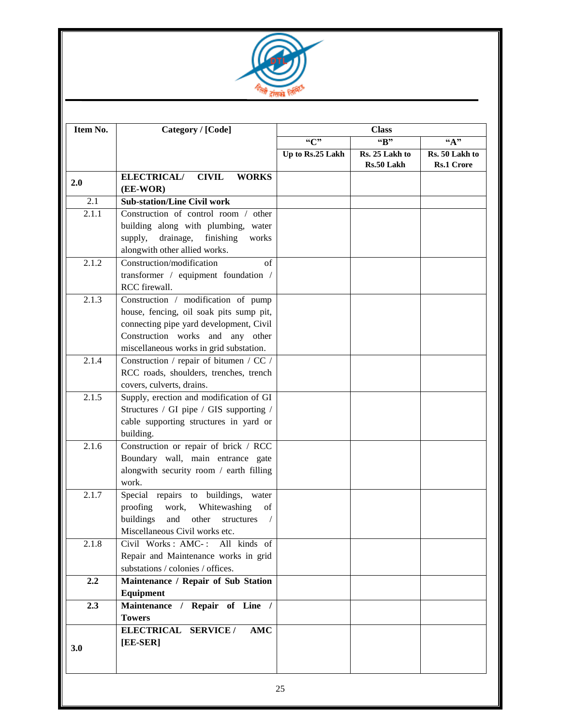

| Item No. | Category / [Code]                                                                                                                                                                                        |                  | <b>Class</b>                 |                                     |
|----------|----------------------------------------------------------------------------------------------------------------------------------------------------------------------------------------------------------|------------------|------------------------------|-------------------------------------|
|          |                                                                                                                                                                                                          | C<br>"B"         |                              | ``A"                                |
|          |                                                                                                                                                                                                          | Up to Rs.25 Lakh | Rs. 25 Lakh to<br>Rs.50 Lakh | Rs. 50 Lakh to<br><b>Rs.1 Crore</b> |
| 2.0      | <b>ELECTRICAL/</b><br><b>CIVIL</b><br><b>WORKS</b><br>(EE-WOR)                                                                                                                                           |                  |                              |                                     |
| 2.1      | <b>Sub-station/Line Civil work</b>                                                                                                                                                                       |                  |                              |                                     |
| 2.1.1    | Construction of control room / other<br>building along with plumbing, water<br>drainage,<br>finishing<br>supply,<br>works<br>alongwith other allied works.                                               |                  |                              |                                     |
| 2.1.2    | Construction/modification<br>$\sigma$ f<br>transformer / equipment foundation /<br>RCC firewall.                                                                                                         |                  |                              |                                     |
| 2.1.3    | Construction / modification of pump<br>house, fencing, oil soak pits sump pit,<br>connecting pipe yard development, Civil<br>Construction works and any other<br>miscellaneous works in grid substation. |                  |                              |                                     |
| 2.1.4    | Construction / repair of bitumen / CC /<br>RCC roads, shoulders, trenches, trench<br>covers, culverts, drains.                                                                                           |                  |                              |                                     |
| 2.1.5    | Supply, erection and modification of GI<br>Structures / GI pipe / GIS supporting /<br>cable supporting structures in yard or<br>building.                                                                |                  |                              |                                     |
| 2.1.6    | Construction or repair of brick / RCC<br>Boundary wall, main entrance gate<br>alongwith security room / earth filling<br>work.                                                                           |                  |                              |                                     |
| 2.1.7    | Special repairs to buildings, water<br>proofing<br>work, Whitewashing<br>of<br>buildings<br>and<br>other<br>structures<br>$\sqrt{2}$<br>Miscellaneous Civil works etc.                                   |                  |                              |                                     |
| 2.1.8    | Civil Works : AMC- :<br>All kinds of<br>Repair and Maintenance works in grid<br>substations / colonies / offices.                                                                                        |                  |                              |                                     |
| 2.2      | Maintenance / Repair of Sub Station<br>Equipment                                                                                                                                                         |                  |                              |                                     |
| 2.3      | Maintenance / Repair of Line /<br><b>Towers</b>                                                                                                                                                          |                  |                              |                                     |
| 3.0      | <b>AMC</b><br>ELECTRICAL SERVICE /<br>[EE-SER]                                                                                                                                                           |                  |                              |                                     |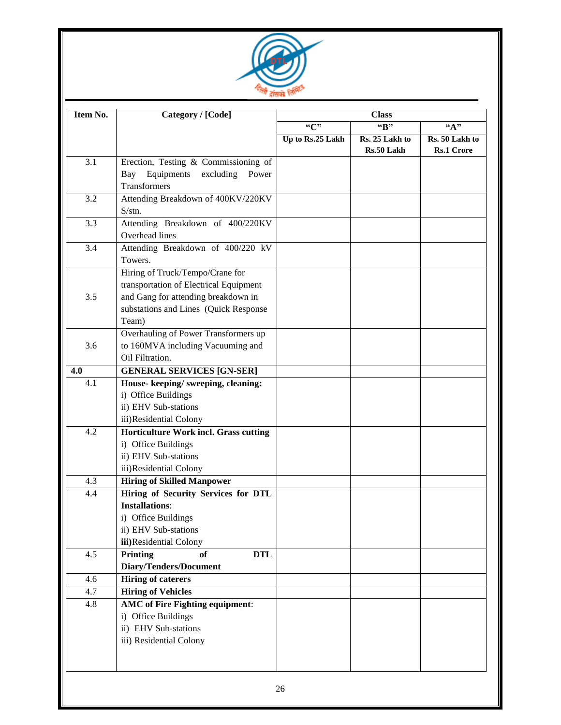

| Item No. | Category / [Code]                                  |                  | <b>Class</b>                 |                                                         |
|----------|----------------------------------------------------|------------------|------------------------------|---------------------------------------------------------|
|          |                                                    | ``C"             | "B"                          | ``A"                                                    |
|          |                                                    | Up to Rs.25 Lakh | Rs. 25 Lakh to<br>Rs.50 Lakh | $\overline{\text{Rs.}}$ 50 Lakh to<br><b>Rs.1 Crore</b> |
| 3.1      | Erection, Testing & Commissioning of               |                  |                              |                                                         |
|          | Equipments excluding<br>Power<br>Bay               |                  |                              |                                                         |
|          | Transformers                                       |                  |                              |                                                         |
| 3.2      | Attending Breakdown of 400KV/220KV<br>S/stn.       |                  |                              |                                                         |
| 3.3      | Attending Breakdown of 400/220KV<br>Overhead lines |                  |                              |                                                         |
| 3.4      | Attending Breakdown of 400/220 kV<br>Towers.       |                  |                              |                                                         |
|          | Hiring of Truck/Tempo/Crane for                    |                  |                              |                                                         |
|          | transportation of Electrical Equipment             |                  |                              |                                                         |
| 3.5      | and Gang for attending breakdown in                |                  |                              |                                                         |
|          | substations and Lines (Quick Response              |                  |                              |                                                         |
|          | Team)                                              |                  |                              |                                                         |
|          | Overhauling of Power Transformers up               |                  |                              |                                                         |
| 3.6      | to 160MVA including Vacuuming and                  |                  |                              |                                                         |
|          | Oil Filtration.                                    |                  |                              |                                                         |
| 4.0      | <b>GENERAL SERVICES [GN-SER]</b>                   |                  |                              |                                                         |
| 4.1      | House-keeping/sweeping, cleaning:                  |                  |                              |                                                         |
|          | i) Office Buildings<br>ii) EHV Sub-stations        |                  |                              |                                                         |
|          | iii)Residential Colony                             |                  |                              |                                                         |
| 4.2      | Horticulture Work incl. Grass cutting              |                  |                              |                                                         |
|          | i) Office Buildings                                |                  |                              |                                                         |
|          | ii) EHV Sub-stations                               |                  |                              |                                                         |
|          | iii)Residential Colony                             |                  |                              |                                                         |
| 4.3      | <b>Hiring of Skilled Manpower</b>                  |                  |                              |                                                         |
| 4.4      | Hiring of Security Services for DTL                |                  |                              |                                                         |
|          | <b>Installations:</b>                              |                  |                              |                                                         |
|          | i) Office Buildings                                |                  |                              |                                                         |
|          | ii) EHV Sub-stations                               |                  |                              |                                                         |
|          | iii)Residential Colony                             |                  |                              |                                                         |
| 4.5      | of<br><b>DTL</b><br>Printing                       |                  |                              |                                                         |
|          | Diary/Tenders/Document                             |                  |                              |                                                         |
| 4.6      | <b>Hiring of caterers</b>                          |                  |                              |                                                         |
| 4.7      | <b>Hiring of Vehicles</b>                          |                  |                              |                                                         |
| 4.8      | <b>AMC</b> of Fire Fighting equipment:             |                  |                              |                                                         |
|          | i) Office Buildings                                |                  |                              |                                                         |
|          | ii) EHV Sub-stations                               |                  |                              |                                                         |
|          | iii) Residential Colony                            |                  |                              |                                                         |
|          |                                                    |                  |                              |                                                         |
|          |                                                    |                  |                              |                                                         |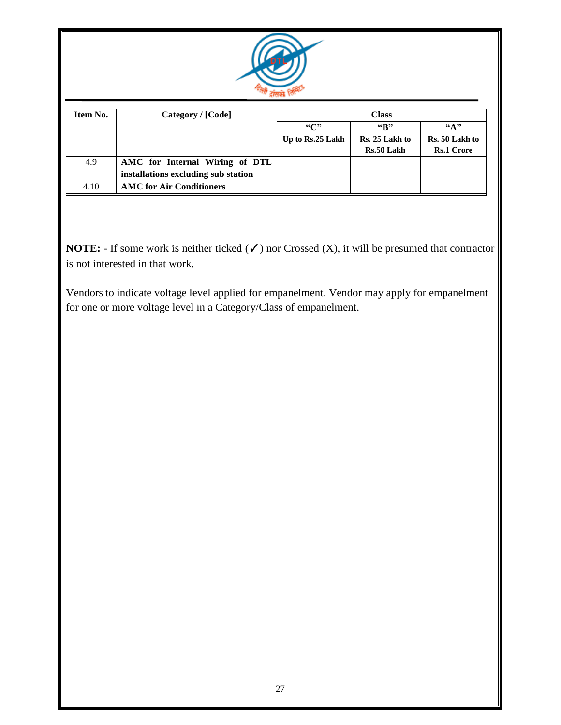

| Item No. | Category / [Code]                   |                  | <b>Class</b>                 |                                     |
|----------|-------------------------------------|------------------|------------------------------|-------------------------------------|
|          |                                     | $\mathcal{C}$    | $\mathbf{G}_{\mathbf{R}}$    | $\mathbf{G}(\mathbf{A})$            |
|          |                                     | Up to Rs.25 Lakh | Rs. 25 Lakh to<br>Rs.50 Lakh | Rs. 50 Lakh to<br><b>Rs.1 Crore</b> |
|          |                                     |                  |                              |                                     |
| 4.9      | AMC for Internal Wiring of DTL      |                  |                              |                                     |
|          | installations excluding sub station |                  |                              |                                     |
| 4.10     | <b>AMC</b> for Air Conditioners     |                  |                              |                                     |

**NOTE:**  $\cdot$  If some work is neither ticked  $(\checkmark)$  nor Crossed  $(X)$ , it will be presumed that contractor is not interested in that work.

Vendors to indicate voltage level applied for empanelment. Vendor may apply for empanelment for one or more voltage level in a Category/Class of empanelment.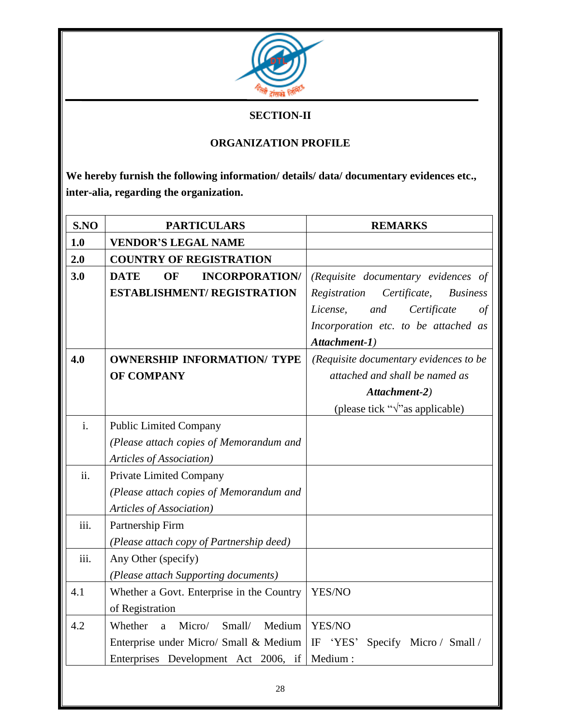

#### **SECTION-II**

#### **ORGANIZATION PROFILE**

**We hereby furnish the following information/ details/ data/ documentary evidences etc., inter-alia, regarding the organization.**

| S.NO           | <b>PARTICULARS</b>                         | <b>REMARKS</b>                                  |
|----------------|--------------------------------------------|-------------------------------------------------|
| 1.0            | <b>VENDOR'S LEGAL NAME</b>                 |                                                 |
| 2.0            | <b>COUNTRY OF REGISTRATION</b>             |                                                 |
| 3.0            | <b>INCORPORATION/</b><br><b>DATE</b><br>OF | (Requisite documentary evidences of             |
|                | <b>ESTABLISHMENT/ REGISTRATION</b>         | Certificate,<br>Registration<br><b>Business</b> |
|                |                                            | Certificate<br>License,<br>and<br>of            |
|                |                                            | Incorporation etc. to be attached as            |
|                |                                            | Attachment-1)                                   |
| 4.0            | <b>OWNERSHIP INFORMATION/ TYPE</b>         | (Requisite documentary evidences to be          |
|                | OF COMPANY                                 | attached and shall be named as                  |
|                |                                            | Attachment-2)                                   |
|                |                                            | (please tick " $\sqrt{ }$ " as applicable)      |
| $\mathbf{i}$ . | <b>Public Limited Company</b>              |                                                 |
|                | (Please attach copies of Memorandum and    |                                                 |
|                | Articles of Association)                   |                                                 |
| ii.            | Private Limited Company                    |                                                 |
|                | (Please attach copies of Memorandum and    |                                                 |
|                | Articles of Association)                   |                                                 |
| iii.           | Partnership Firm                           |                                                 |
|                | (Please attach copy of Partnership deed)   |                                                 |
| iii.           | Any Other (specify)                        |                                                 |
|                | (Please attach Supporting documents)       |                                                 |
| 4.1            | Whether a Govt. Enterprise in the Country  | YES/NO                                          |
|                | of Registration                            |                                                 |
| 4.2            | Micro/<br>Small/<br>Medium<br>Whether<br>a | YES/NO                                          |
|                | Enterprise under Micro/ Small & Medium     | IF 'YES'<br>Specify Micro/ Small/               |
|                | Enterprises Development Act 2006, if       | Medium:                                         |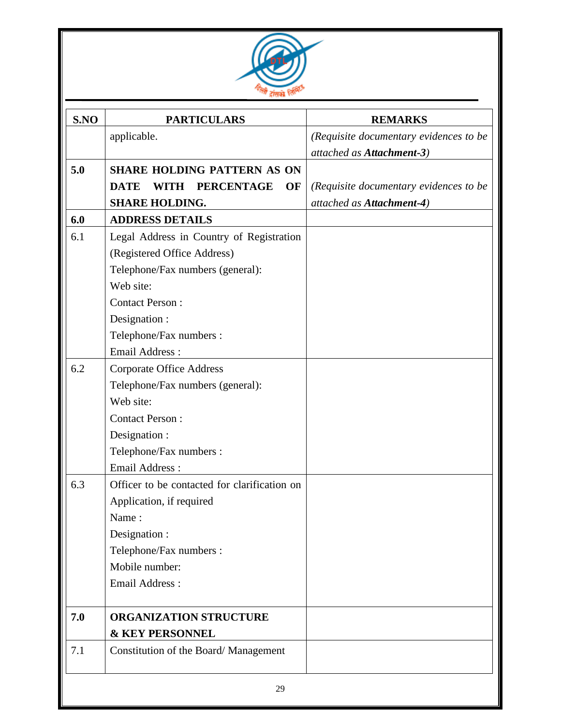

| S.NO | <b>PARTICULARS</b>                             | <b>REMARKS</b>                         |
|------|------------------------------------------------|----------------------------------------|
|      | applicable.                                    | (Requisite documentary evidences to be |
|      |                                                | attached as Attachment-3)              |
| 5.0  | <b>SHARE HOLDING PATTERN AS ON</b>             |                                        |
|      | <b>DATE</b><br><b>PERCENTAGE</b><br>WITH<br>OF | (Requisite documentary evidences to be |
|      | <b>SHARE HOLDING.</b>                          | attached as Attachment-4)              |
| 6.0  | <b>ADDRESS DETAILS</b>                         |                                        |
| 6.1  | Legal Address in Country of Registration       |                                        |
|      | (Registered Office Address)                    |                                        |
|      | Telephone/Fax numbers (general):               |                                        |
|      | Web site:                                      |                                        |
|      | <b>Contact Person:</b>                         |                                        |
|      | Designation :                                  |                                        |
|      | Telephone/Fax numbers :                        |                                        |
|      | <b>Email Address:</b>                          |                                        |
| 6.2  | <b>Corporate Office Address</b>                |                                        |
|      | Telephone/Fax numbers (general):               |                                        |
|      | Web site:                                      |                                        |
|      | <b>Contact Person:</b>                         |                                        |
|      | Designation :                                  |                                        |
|      | Telephone/Fax numbers :                        |                                        |
|      | <b>Email Address:</b>                          |                                        |
| 6.3  | Officer to be contacted for clarification on   |                                        |
|      | Application, if required                       |                                        |
|      | Name:                                          |                                        |
|      | Designation :                                  |                                        |
|      | Telephone/Fax numbers :                        |                                        |
|      | Mobile number:                                 |                                        |
|      | Email Address:                                 |                                        |
| 7.0  | <b>ORGANIZATION STRUCTURE</b>                  |                                        |
|      | <b>&amp; KEY PERSONNEL</b>                     |                                        |
| 7.1  | Constitution of the Board/Management           |                                        |
|      | 29                                             |                                        |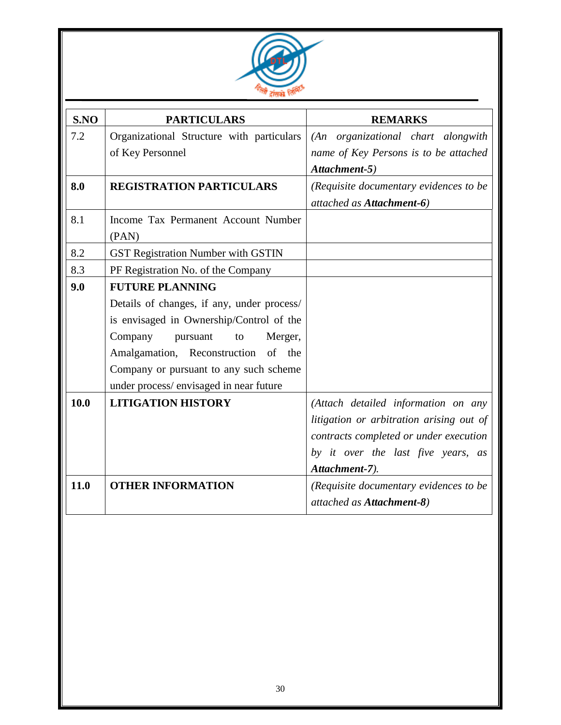

| S.NO | <b>PARTICULARS</b>                         | <b>REMARKS</b>                           |
|------|--------------------------------------------|------------------------------------------|
| 7.2  | Organizational Structure with particulars  | (An organizational chart alongwith       |
|      | of Key Personnel                           | name of Key Persons is to be attached    |
|      |                                            | Attachment-5)                            |
| 8.0  | <b>REGISTRATION PARTICULARS</b>            | (Requisite documentary evidences to be   |
|      |                                            | attached as Attachment-6)                |
| 8.1  | Income Tax Permanent Account Number        |                                          |
|      | (PAN)                                      |                                          |
| 8.2  | <b>GST Registration Number with GSTIN</b>  |                                          |
| 8.3  | PF Registration No. of the Company         |                                          |
| 9.0  | <b>FUTURE PLANNING</b>                     |                                          |
|      | Details of changes, if any, under process/ |                                          |
|      | is envisaged in Ownership/Control of the   |                                          |
|      | Company<br>Merger,<br>pursuant<br>to       |                                          |
|      | Amalgamation, Reconstruction of the        |                                          |
|      | Company or pursuant to any such scheme     |                                          |
|      | under process/envisaged in near future     |                                          |
| 10.0 | <b>LITIGATION HISTORY</b>                  | (Attach detailed information on any      |
|      |                                            | litigation or arbitration arising out of |
|      |                                            | contracts completed or under execution   |
|      |                                            | by it over the last five years, as       |
|      |                                            | Attachment-7).                           |
| 11.0 | <b>OTHER INFORMATION</b>                   | (Requisite documentary evidences to be   |
|      |                                            | attached as Attachment-8)                |
|      |                                            |                                          |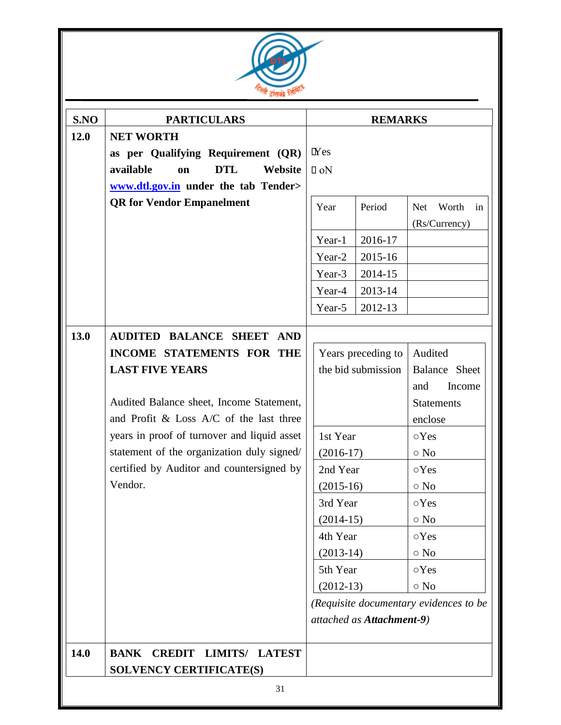

| <b>NET WORTH</b><br>as per Qualifying Requirement (QR)<br><b>DTL</b><br>available<br>Website<br>on<br>www.dtl.gov.in under the tab Tender><br><b>QR</b> for Vendor Empanelment     | $I$ Nes<br>$\Box$ oN<br>Year<br>Year-1 | Period             | <b>Net</b><br>Worth<br>in                                                                                                                                                                                  |
|------------------------------------------------------------------------------------------------------------------------------------------------------------------------------------|----------------------------------------|--------------------|------------------------------------------------------------------------------------------------------------------------------------------------------------------------------------------------------------|
|                                                                                                                                                                                    |                                        |                    |                                                                                                                                                                                                            |
|                                                                                                                                                                                    |                                        |                    | (Rs/Currency)                                                                                                                                                                                              |
|                                                                                                                                                                                    |                                        | 2016-17            |                                                                                                                                                                                                            |
|                                                                                                                                                                                    | Year-2                                 | 2015-16            |                                                                                                                                                                                                            |
|                                                                                                                                                                                    | Year-3                                 | 2014-15            |                                                                                                                                                                                                            |
|                                                                                                                                                                                    | Year-4                                 | 2013-14            |                                                                                                                                                                                                            |
|                                                                                                                                                                                    | Year-5                                 | 2012-13            |                                                                                                                                                                                                            |
| <b>AUDITED BALANCE SHEET AND</b>                                                                                                                                                   |                                        |                    |                                                                                                                                                                                                            |
| <b>INCOME STATEMENTS FOR THE</b>                                                                                                                                                   |                                        | Years preceding to | Audited                                                                                                                                                                                                    |
| <b>LAST FIVE YEARS</b>                                                                                                                                                             |                                        | the bid submission | Balance Sheet                                                                                                                                                                                              |
| Audited Balance sheet, Income Statement,<br>and Profit $&$ Loss A/C of the last three<br>years in proof of turnover and liquid asset<br>statement of the organization duly signed/ |                                        |                    | Income<br>and<br><b>Statements</b><br>enclose<br>$\circ$ Yes<br>$\circ$ No                                                                                                                                 |
| certified by Auditor and countersigned by                                                                                                                                          |                                        |                    | $\circ$ Yes                                                                                                                                                                                                |
| Vendor.                                                                                                                                                                            |                                        |                    | $\circ$ No                                                                                                                                                                                                 |
|                                                                                                                                                                                    |                                        |                    | $\circ$ Yes                                                                                                                                                                                                |
|                                                                                                                                                                                    |                                        |                    | $\circ$ No                                                                                                                                                                                                 |
|                                                                                                                                                                                    |                                        |                    | $\circ$ Yes                                                                                                                                                                                                |
|                                                                                                                                                                                    |                                        |                    | $\circ$ No                                                                                                                                                                                                 |
|                                                                                                                                                                                    |                                        |                    | $\circ$ Yes                                                                                                                                                                                                |
|                                                                                                                                                                                    |                                        |                    | $\circ$ No                                                                                                                                                                                                 |
|                                                                                                                                                                                    |                                        |                    |                                                                                                                                                                                                            |
| <b>BANK</b><br><b>CREDIT LIMITS/ LATEST</b>                                                                                                                                        |                                        |                    |                                                                                                                                                                                                            |
|                                                                                                                                                                                    | <b>SOLVENCY CERTIFICATE(S)</b>         |                    | 1st Year<br>$(2016-17)$<br>2nd Year<br>$(2015-16)$<br>3rd Year<br>$(2014-15)$<br>4th Year<br>$(2013-14)$<br>5th Year<br>$(2012-13)$<br>(Requisite documentary evidences to be<br>attached as Attachment-9) |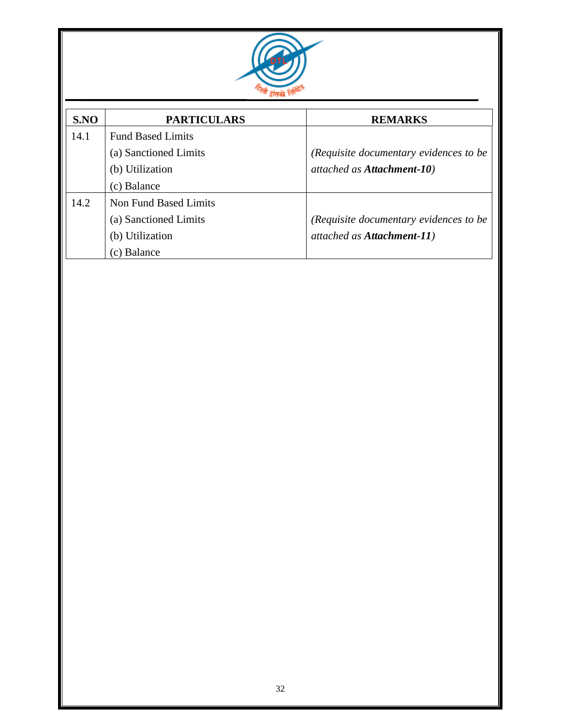

| S.NO | <b>PARTICULARS</b>           | <b>REMARKS</b>                         |
|------|------------------------------|----------------------------------------|
| 14.1 | <b>Fund Based Limits</b>     |                                        |
|      | (a) Sanctioned Limits        | (Requisite documentary evidences to be |
|      | (b) Utilization              | attached as Attachment-10)             |
|      | (c) Balance                  |                                        |
| 14.2 | <b>Non Fund Based Limits</b> |                                        |
|      | (a) Sanctioned Limits        | (Requisite documentary evidences to be |
|      | (b) Utilization              | attached as Attachment-11)             |
|      | (c) Balance                  |                                        |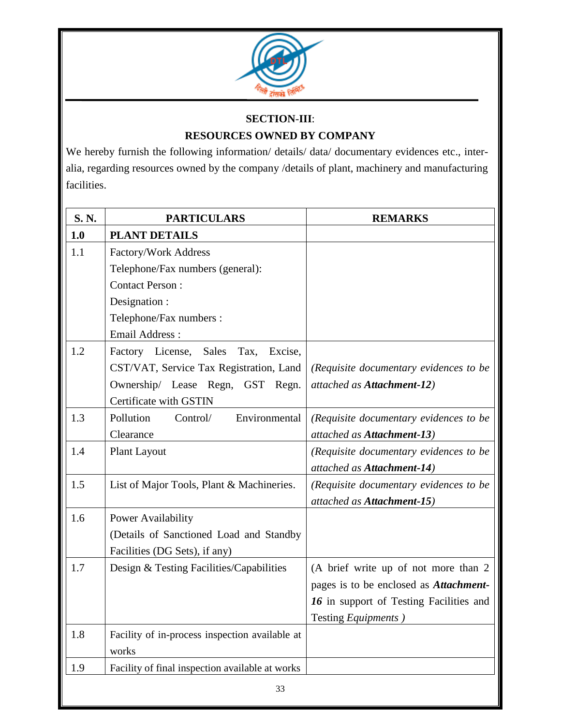

### **SECTION**-**III**: **RESOURCES OWNED BY COMPANY**

We hereby furnish the following information/ details/ data/ documentary evidences etc., interalia, regarding resources owned by the company /details of plant, machinery and manufacturing facilities.

| S.N. | <b>PARTICULARS</b>                              | <b>REMARKS</b>                                 |
|------|-------------------------------------------------|------------------------------------------------|
| 1.0  | <b>PLANT DETAILS</b>                            |                                                |
| 1.1  | Factory/Work Address                            |                                                |
|      | Telephone/Fax numbers (general):                |                                                |
|      | <b>Contact Person:</b>                          |                                                |
|      | Designation :                                   |                                                |
|      | Telephone/Fax numbers :                         |                                                |
|      | <b>Email Address:</b>                           |                                                |
| 1.2  | Factory License, Sales<br>Tax,<br>Excise,       |                                                |
|      | CST/VAT, Service Tax Registration, Land         | (Requisite documentary evidences to be         |
|      | Ownership/ Lease Regn, GST Regn.                | attached as Attachment-12)                     |
|      | Certificate with GSTIN                          |                                                |
| 1.3  | Pollution<br>Environmental<br>Control/          | (Requisite documentary evidences to be         |
|      | Clearance                                       | attached as Attachment-13)                     |
| 1.4  | <b>Plant Layout</b>                             | (Requisite documentary evidences to be         |
|      |                                                 | attached as Attachment-14)                     |
| 1.5  | List of Major Tools, Plant & Machineries.       | (Requisite documentary evidences to be         |
|      |                                                 | attached as Attachment-15)                     |
| 1.6  | <b>Power Availability</b>                       |                                                |
|      | (Details of Sanctioned Load and Standby         |                                                |
|      | Facilities (DG Sets), if any)                   |                                                |
| 1.7  | Design & Testing Facilities/Capabilities        | (A brief write up of not more than 2           |
|      |                                                 | pages is to be enclosed as <i>Attachment</i> - |
|      |                                                 | 16 in support of Testing Facilities and        |
|      |                                                 | Testing <i>Equipments</i> )                    |
| 1.8  | Facility of in-process inspection available at  |                                                |
|      | works                                           |                                                |
| 1.9  | Facility of final inspection available at works |                                                |
|      | 33                                              |                                                |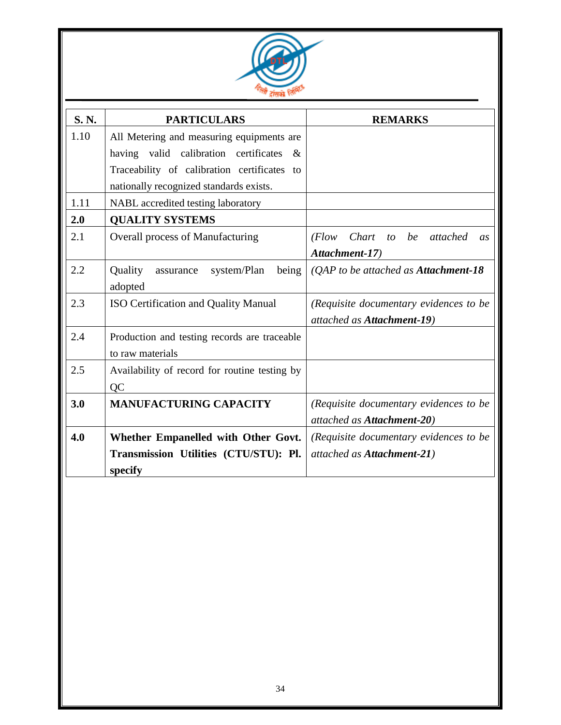

| S.N. | <b>PARTICULARS</b>                            | <b>REMARKS</b>                           |
|------|-----------------------------------------------|------------------------------------------|
| 1.10 | All Metering and measuring equipments are     |                                          |
|      | having valid calibration certificates<br>&    |                                          |
|      | Traceability of calibration certificates to   |                                          |
|      | nationally recognized standards exists.       |                                          |
| 1.11 | NABL accredited testing laboratory            |                                          |
| 2.0  | <b>QUALITY SYSTEMS</b>                        |                                          |
| 2.1  | Overall process of Manufacturing              | (Flow Chart)<br>to be attached<br>as     |
|      |                                               | Attachment-17)                           |
| 2.2  | Quality<br>being<br>system/Plan<br>assurance  | ( $QAP$ to be attached as Attachment-18) |
|      | adopted                                       |                                          |
| 2.3  | <b>ISO Certification and Quality Manual</b>   | (Requisite documentary evidences to be   |
|      |                                               | attached as Attachment-19)               |
| 2.4  | Production and testing records are traceable  |                                          |
|      | to raw materials                              |                                          |
| 2.5  | Availability of record for routine testing by |                                          |
|      | QC                                            |                                          |
| 3.0  | <b>MANUFACTURING CAPACITY</b>                 | (Requisite documentary evidences to be   |
|      |                                               | attached as Attachment-20)               |
| 4.0  | Whether Empanelled with Other Govt.           | (Requisite documentary evidences to be   |
|      | Transmission Utilities (CTU/STU): Pl.         | attached as Attachment-21)               |
|      | specify                                       |                                          |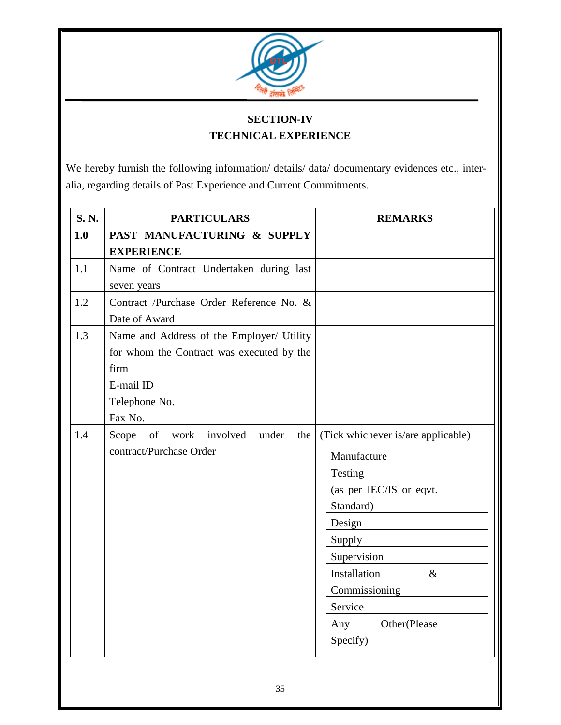

### **SECTION-IV TECHNICAL EXPERIENCE**

We hereby furnish the following information/ details/ data/ documentary evidences etc., interalia, regarding details of Past Experience and Current Commitments.

| S.N. | <b>PARTICULARS</b>                                                                                                                      | <b>REMARKS</b>                                                                                                                                                                                                                 |
|------|-----------------------------------------------------------------------------------------------------------------------------------------|--------------------------------------------------------------------------------------------------------------------------------------------------------------------------------------------------------------------------------|
| 1.0  | PAST MANUFACTURING & SUPPLY<br><b>EXPERIENCE</b>                                                                                        |                                                                                                                                                                                                                                |
| 1.1  | Name of Contract Undertaken during last<br>seven years                                                                                  |                                                                                                                                                                                                                                |
| 1.2  | Contract /Purchase Order Reference No. &<br>Date of Award                                                                               |                                                                                                                                                                                                                                |
| 1.3  | Name and Address of the Employer/ Utility<br>for whom the Contract was executed by the<br>firm<br>E-mail ID<br>Telephone No.<br>Fax No. |                                                                                                                                                                                                                                |
| 1.4  | Scope of work involved under<br>the<br>contract/Purchase Order                                                                          | (Tick whichever is/are applicable)<br>Manufacture<br>Testing<br>(as per IEC/IS or eqvt.<br>Standard)<br>Design<br>Supply<br>Supervision<br>Installation<br>$\&$<br>Commissioning<br>Service<br>Other(Please<br>Any<br>Specify) |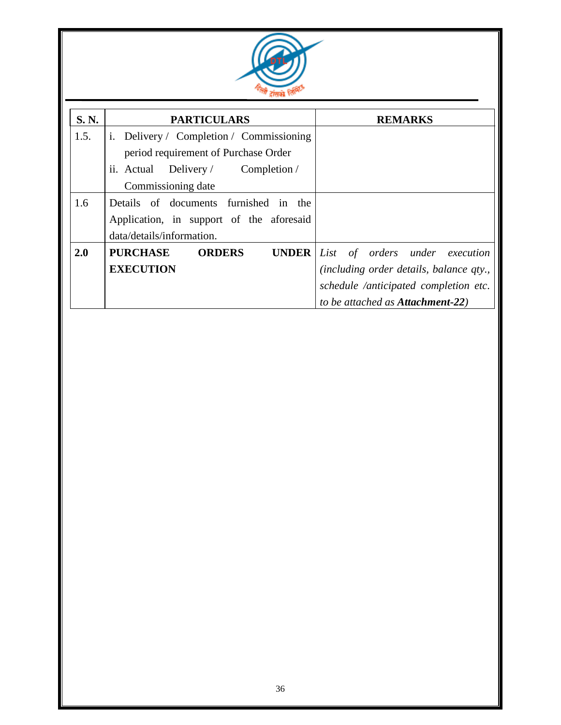

| S. N. | <b>PARTICULARS</b>                               | <b>REMARKS</b>                           |
|-------|--------------------------------------------------|------------------------------------------|
| 1.5.  | i. Delivery / Completion / Commissioning         |                                          |
|       | period requirement of Purchase Order             |                                          |
|       | ii. Actual Delivery / Completion /               |                                          |
|       | Commissioning date                               |                                          |
| 1.6   | Details of documents furnished in the            |                                          |
|       | Application, in support of the aforesaid         |                                          |
|       | data/details/information.                        |                                          |
| 2.0   | <b>PURCHASE</b><br><b>ORDERS</b><br><b>UNDER</b> | List of orders under execution           |
|       | <b>EXECUTION</b>                                 | (including order details, balance qty.,  |
|       |                                                  | schedule /anticipated completion etc.    |
|       |                                                  | to be attached as <b>Attachment-22</b> ) |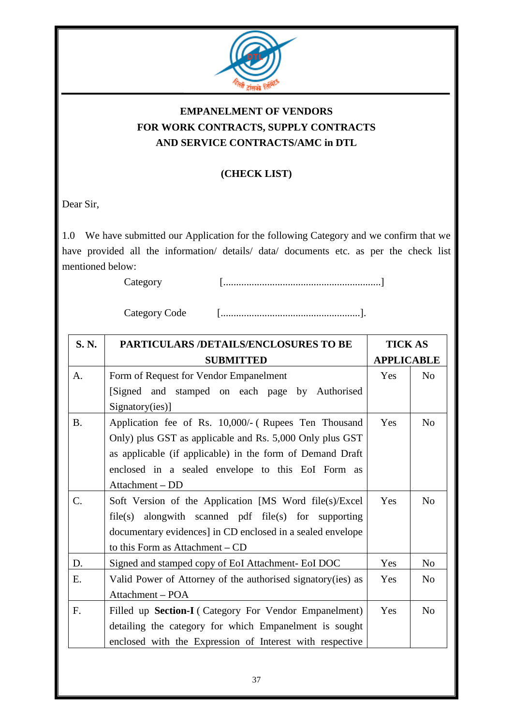

## **EMPANELMENT OF VENDORS FOR WORK CONTRACTS, SUPPLY CONTRACTS AND SERVICE CONTRACTS/AMC in DTL**

#### **(CHECK LIST)**

Dear Sir,

1.0 We have submitted our Application for the following Category and we confirm that we have provided all the information/ details/ data/ documents etc. as per the check list mentioned below:

Category [.............................................................]

Category Code [......................................................].

| S.N.            | <b>PARTICULARS /DETAILS/ENCLOSURES TO BE</b>                 |            | <b>TICK AS</b>    |  |
|-----------------|--------------------------------------------------------------|------------|-------------------|--|
|                 | <b>SUBMITTED</b>                                             |            | <b>APPLICABLE</b> |  |
| A.              | Form of Request for Vendor Empanelment                       | Yes        | No                |  |
|                 | [Signed and stamped on each page by Authorised               |            |                   |  |
|                 | Signatory(ies)]                                              |            |                   |  |
| <b>B.</b>       | Application fee of Rs. 10,000/- (Rupees Ten Thousand         | Yes        | N <sub>o</sub>    |  |
|                 | Only) plus GST as applicable and Rs. 5,000 Only plus GST     |            |                   |  |
|                 | as applicable (if applicable) in the form of Demand Draft    |            |                   |  |
|                 | enclosed in a sealed envelope to this EoI Form as            |            |                   |  |
|                 | Attachment - DD                                              |            |                   |  |
| $\mathcal{C}$ . | Soft Version of the Application [MS Word file(s)/Excel       | Yes        | N <sub>o</sub>    |  |
|                 | file(s) alongwith scanned pdf file(s) for supporting         |            |                   |  |
|                 | documentary evidences] in CD enclosed in a sealed envelope   |            |                   |  |
|                 | to this Form as Attachment – CD                              |            |                   |  |
| D.              | Signed and stamped copy of EoI Attachment- EoI DOC           | Yes        | N <sub>o</sub>    |  |
| Ε.              | Valid Power of Attorney of the authorised signatory (ies) as | <b>Yes</b> | N <sub>0</sub>    |  |
|                 | Attachment - POA                                             |            |                   |  |
| F.              | Filled up Section-I (Category For Vendor Empanelment)        | Yes        | N <sub>0</sub>    |  |
|                 | detailing the category for which Empanelment is sought       |            |                   |  |
|                 | enclosed with the Expression of Interest with respective     |            |                   |  |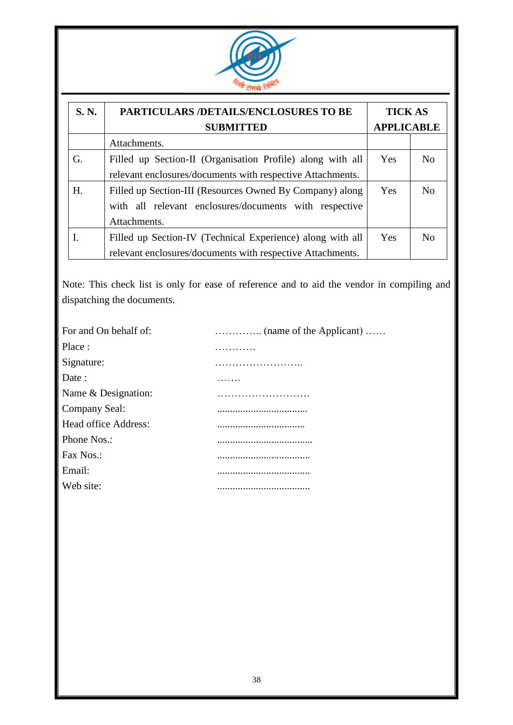

| S. N. | PARTICULARS /DETAILS/ENCLOSURES TO BE<br><b>SUBMITTED</b>                                                                          |            | <b>TICK AS</b><br><b>APPLICABLE</b> |  |
|-------|------------------------------------------------------------------------------------------------------------------------------------|------------|-------------------------------------|--|
|       | Attachments.                                                                                                                       |            |                                     |  |
| G.    | Filled up Section-II (Organisation Profile) along with all<br>relevant enclosures/documents with respective Attachments.           | <b>Yes</b> | N <sub>o</sub>                      |  |
| H.    | Filled up Section-III (Resources Owned By Company) along<br>with all relevant enclosures/documents with respective<br>Attachments. | Yes        | N <sub>0</sub>                      |  |
|       | Filled up Section-IV (Technical Experience) along with all<br>relevant enclosures/documents with respective Attachments.           | Yes        | N <sub>0</sub>                      |  |

Note: This check list is only for ease of reference and to aid the vendor in compiling and dispatching the documents.

| For and On behalf of: |   |
|-----------------------|---|
| Place:                |   |
| Signature:            | . |
| Date:                 |   |
| Name & Designation:   |   |
| Company Seal:         |   |
| Head office Address:  |   |
| Phone Nos.:           |   |
| Fax Nos.:             |   |
| Email:                |   |
| Web site:             |   |